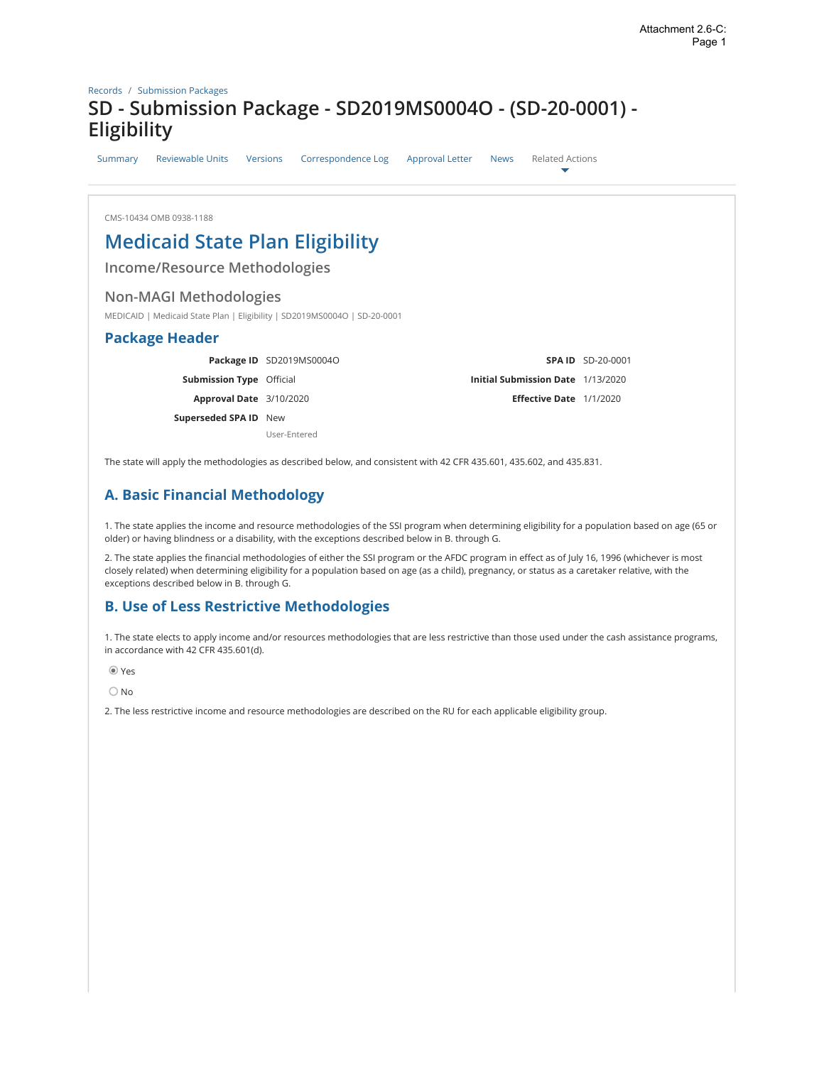Records / Submission Packages SD - Submission Package - SD2019MS0004O - (SD-20-0001) - **Eligibility** 

Summary Reviewable Units Versions Correspondence Log Approval Letter News Related Actions

CMS-10434 OMB 0938-1188

Medicaid State Plan Eligibility Income/Resource Methodologies Non-MAGI Methodologies MEDICAID | Medicaid State Plan | Eligibility | SD2019MS0004O | SD-20-0001 Package Header Package ID SD2019MS0004O Submission Type Official Approval Date 3/10/2020 Superseded SPA ID New User-Entered SPA ID SD-20-0001 Initial Submission Date 1/13/2020 Effective Date 1/1/2020 The state will apply the methodologies as described below, and consistent with 42 CFR 435.601, 435.602, and 435.831. A. Basic Financial Methodology 1. The state applies the income and resource methodologies of the SSI program when determining eligibility for a population based on age (65 or older) or having blindness or a disability, with the exceptions described below in B. through G. 2. The state applies the financial methodologies of either the SSI program or the AFDC program in effect as of July 16, 1996 (whichever is most closely related) when determining eligibility for a population based on age (as a child), pregnancy, or status as a caretaker relative, with the exceptions described below in B. through G. B. Use of Less Restrictive Methodologies

1. The state elects to apply income and/or resources methodologies that are less restrictive than those used under the cash assistance programs, in accordance with 42 CFR 435.601(d).

Yes

 $\bigcirc$  No

2. The less restrictive income and resource methodologies are described on the RU for each applicable eligibility group.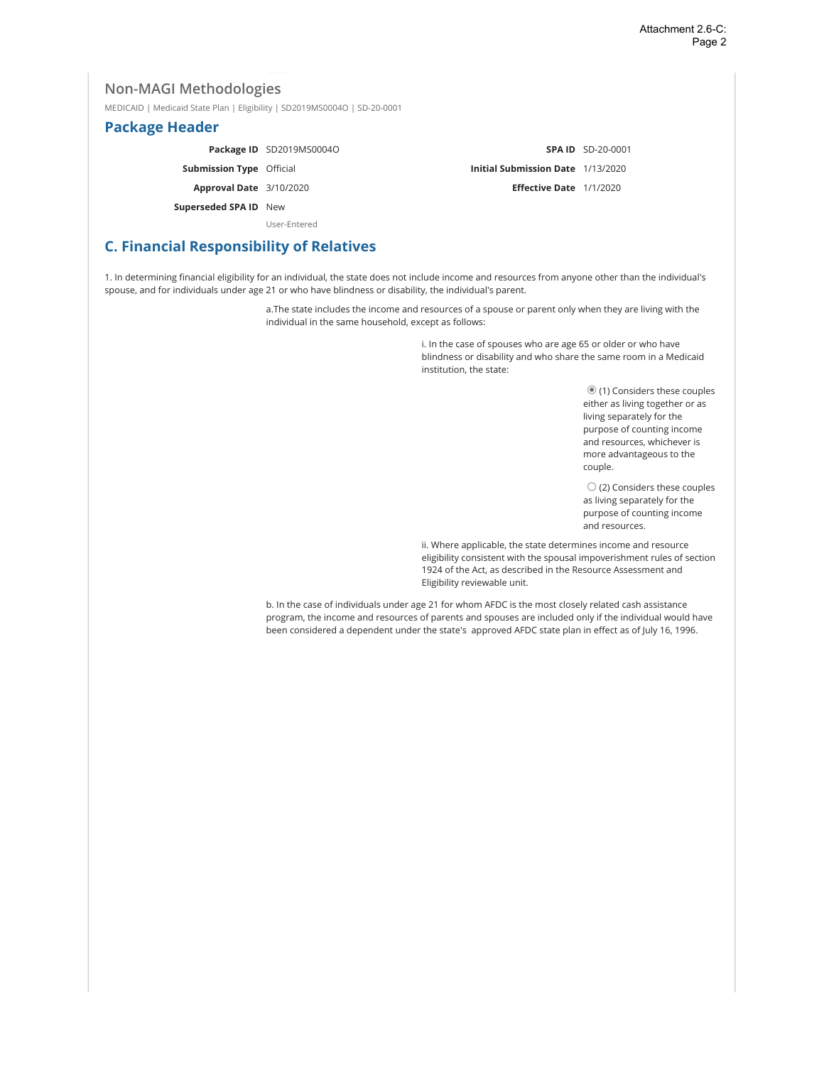MEDICAID | Medicaid State Plan | Eligibility | SD2019MS0004O | SD-20-0001

#### Package Header

|                                 | Package ID SD2019MS0004O |                                   | <b>SPA ID SD-20-0001</b> |
|---------------------------------|--------------------------|-----------------------------------|--------------------------|
| <b>Submission Type Official</b> |                          | Initial Submission Date 1/13/2020 |                          |
| Approval Date 3/10/2020         |                          | <b>Effective Date</b> 1/1/2020    |                          |
| Superseded SPA ID New           |                          |                                   |                          |
|                                 | User-Entered             |                                   |                          |

### C. Financial Responsibility of Relatives

1. In determining financial eligibility for an individual, the state does not include income and resources from anyone other than the individual's spouse, and for individuals under age 21 or who have blindness or disability, the individual's parent.

> a.The state includes the income and resources of a spouse or parent only when they are living with the individual in the same household, except as follows:

> > i. In the case of spouses who are age 65 or older or who have blindness or disability and who share the same room in a Medicaid institution, the state:

> > > (1) Considers these couples either as living together or as living separately for the purpose of counting income and resources, whichever is more advantageous to the couple.

> > > $\bigcirc$  (2) Considers these couples as living separately for the purpose of counting income and resources.

ii. Where applicable, the state determines income and resource eligibility consistent with the spousal impoverishment rules of section 1924 of the Act, as described in the Resource Assessment and Eligibility reviewable unit.

b. In the case of individuals under age 21 for whom AFDC is the most closely related cash assistance program, the income and resources of parents and spouses are included only if the individual would have been considered a dependent under the state's approved AFDC state plan in effect as of July 16, 1996.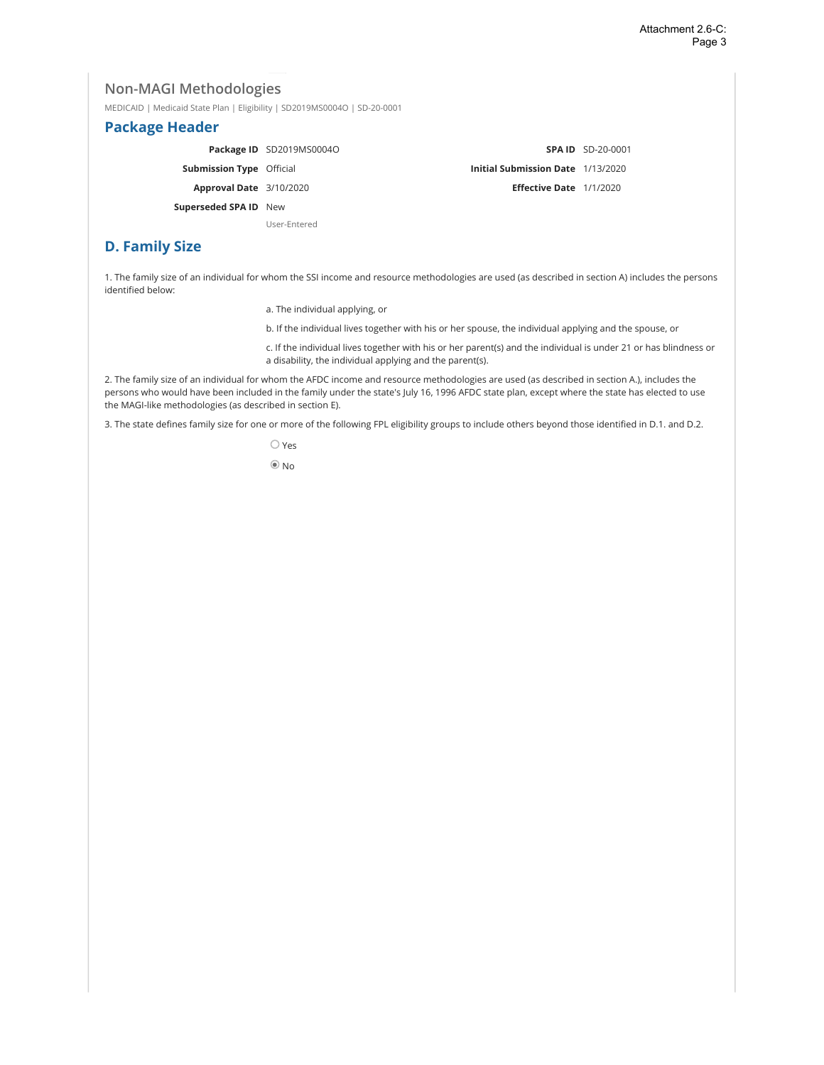MEDICAID | Medicaid State Plan | Eligibility | SD2019MS0004O | SD-20-0001

#### Package Header

|                                 | Package ID SD2019MS0004O |                                          | <b>SPA ID SD-20-0001</b> |
|---------------------------------|--------------------------|------------------------------------------|--------------------------|
| <b>Submission Type Official</b> |                          | <b>Initial Submission Date 1/13/2020</b> |                          |
| Approval Date 3/10/2020         |                          | Effective Date 1/1/2020                  |                          |
| Superseded SPA ID New           |                          |                                          |                          |
|                                 | User-Entered             |                                          |                          |

### D. Family Size

1. The family size of an individual for whom the SSI income and resource methodologies are used (as described in section A) includes the persons identified below:

a. The individual applying, or

b. If the individual lives together with his or her spouse, the individual applying and the spouse, or

c. If the individual lives together with his or her parent(s) and the individual is under 21 or has blindness or a disability, the individual applying and the parent(s).

2. The family size of an individual for whom the AFDC income and resource methodologies are used (as described in section A.), includes the persons who would have been included in the family under the state's July 16, 1996 AFDC state plan, except where the state has elected to use the MAGI-like methodologies (as described in section E).

3. The state defines family size for one or more of the following FPL eligibility groups to include others beyond those identified in D.1. and D.2.

Yes

No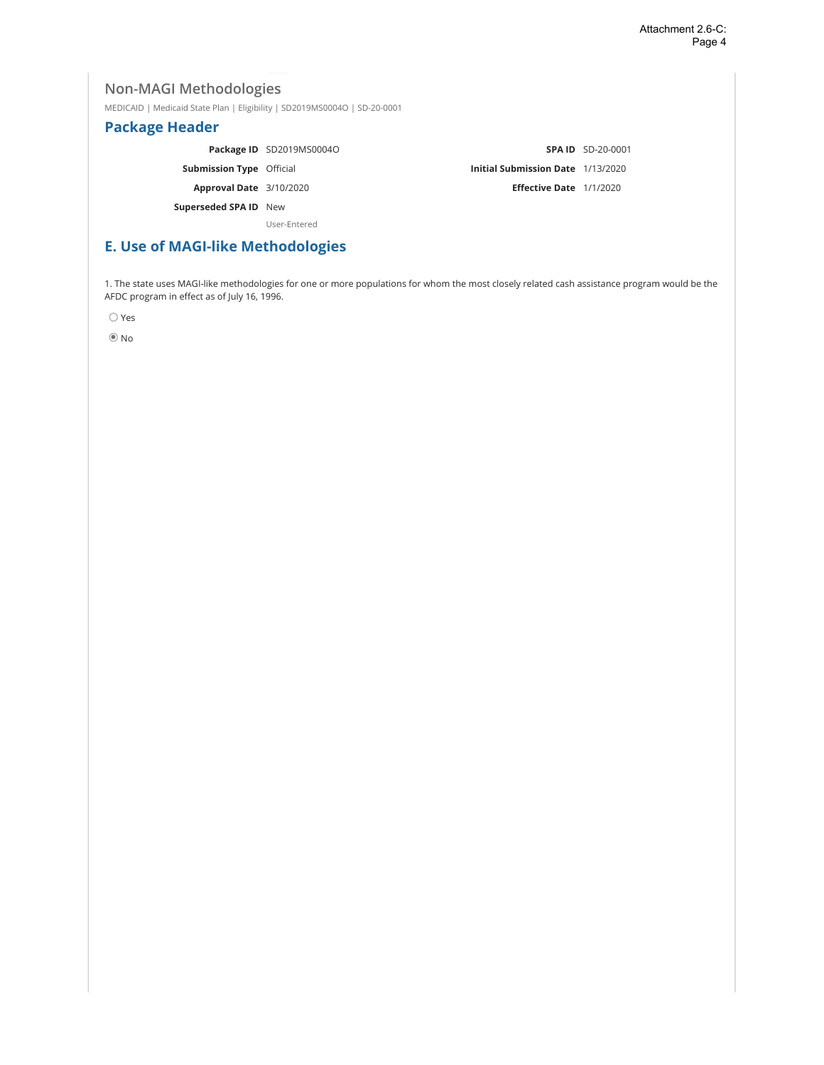MEDICAID | Medicaid State Plan | Eligibility | SD2019MS0004O | SD-20-0001

# Package Header

|                                 | Package ID SD2019MS0004O |                                          | <b>SPA ID</b> SD-20-0001 |
|---------------------------------|--------------------------|------------------------------------------|--------------------------|
| <b>Submission Type Official</b> |                          | <b>Initial Submission Date 1/13/2020</b> |                          |
| Approval Date 3/10/2020         |                          | Effective Date 1/1/2020                  |                          |
| Superseded SPA ID New           |                          |                                          |                          |

User-Entered

# E. Use of MAGI-like Methodologies

1. The state uses MAGI-like methodologies for one or more populations for whom the most closely related cash assistance program would be the AFDC program in effect as of July 16, 1996.

Yes

No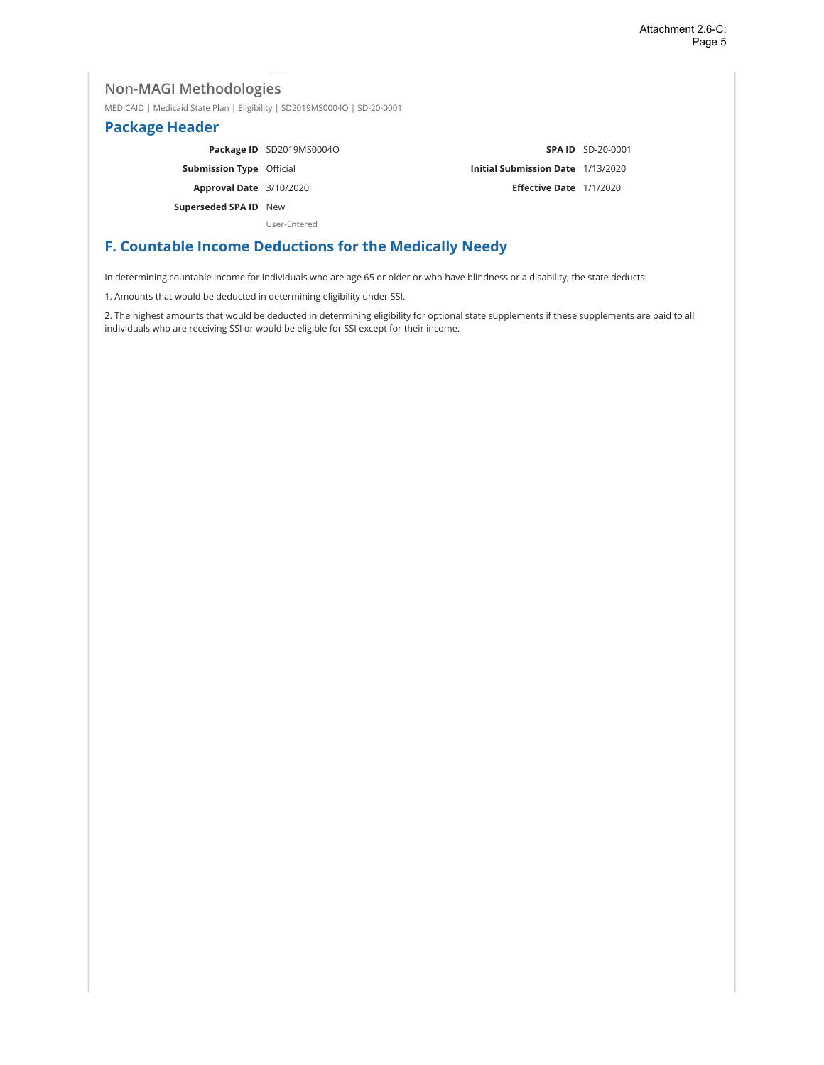MEDICAID | Medicaid State Plan | Eligibility | SD2019MS0004O | SD-20-0001

### Package Header

|                                 | Package ID SD2019MS0004O |                                   | <b>SPA ID</b> SD-20-0001 |
|---------------------------------|--------------------------|-----------------------------------|--------------------------|
| <b>Submission Type</b> Official |                          | Initial Submission Date 1/13/2020 |                          |
| Approval Date 3/10/2020         |                          | <b>Effective Date</b> 1/1/2020    |                          |
| Superseded SPA ID New           |                          |                                   |                          |
|                                 | User-Entered             |                                   |                          |

# F. Countable Income Deductions for the Medically Needy

In determining countable income for individuals who are age 65 or older or who have blindness or a disability, the state deducts:

1. Amounts that would be deducted in determining eligibility under SSI.

2. The highest amounts that would be deducted in determining eligibility for optional state supplements if these supplements are paid to all individuals who are receiving SSI or would be eligible for SSI except for their income.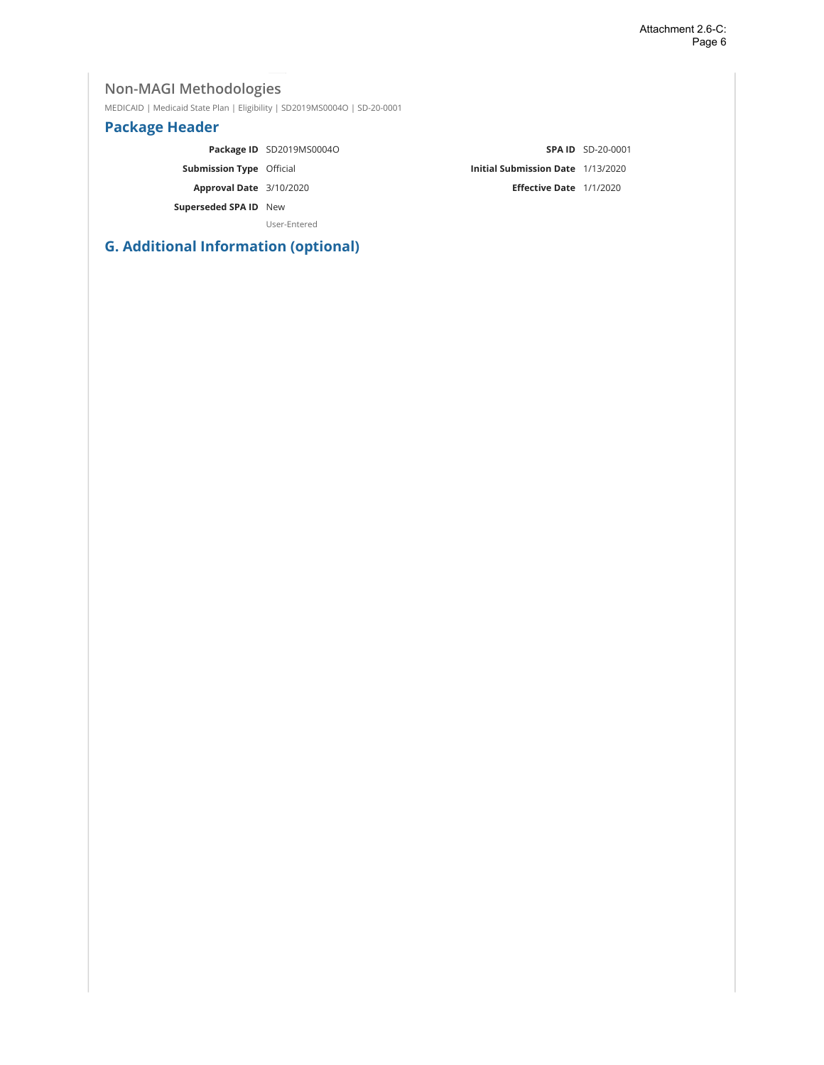MEDICAID | Medicaid State Plan | Eligibility | SD2019MS0004O | SD-20-0001

# Package Header

|                                 | Package ID SD2019MS0004O |                                   | <b>SPA ID</b> SD-20-0001 |
|---------------------------------|--------------------------|-----------------------------------|--------------------------|
| <b>Submission Type Official</b> |                          | Initial Submission Date 1/13/2020 |                          |
| Approval Date 3/10/2020         |                          | Effective Date 1/1/2020           |                          |
| Superseded SPA ID New           |                          |                                   |                          |

User-Entered

# G. Additional Information (optional)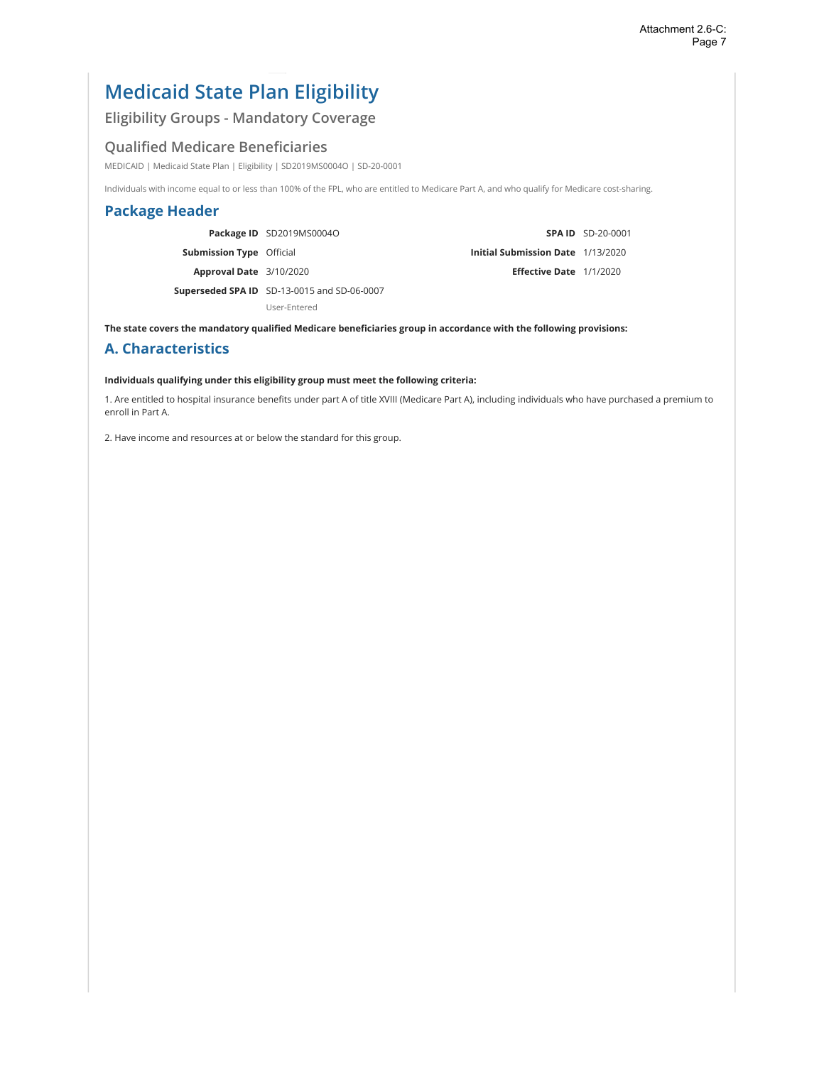# Medicaid State Plan Eligibility

Eligibility Groups - Mandatory Coverage

### Qualified Medicare Beneficiaries

MEDICAID | Medicaid State Plan | Eligibility | SD2019MS0004O | SD-20-0001

Individuals with income equal to or less than 100% of the FPL, who are entitled to Medicare Part A, and who qualify for Medicare cost-sharing.

### Package Header

Package ID SD2019MS0004O

Submission Type Official

Approval Date 3/10/2020

Superseded SPA ID SD-13-0015 and SD-06-0007 User-Entered

SPA ID SD-20-0001 Initial Submission Date 1/13/2020 Effective Date 1/1/2020

The state covers the mandatory qualified Medicare beneficiaries group in accordance with the following provisions:

### A. Characteristics

#### Individuals qualifying under this eligibility group must meet the following criteria:

1. Are entitled to hospital insurance benefits under part A of title XVIII (Medicare Part A), including individuals who have purchased a premium to enroll in Part A.

2. Have income and resources at or below the standard for this group.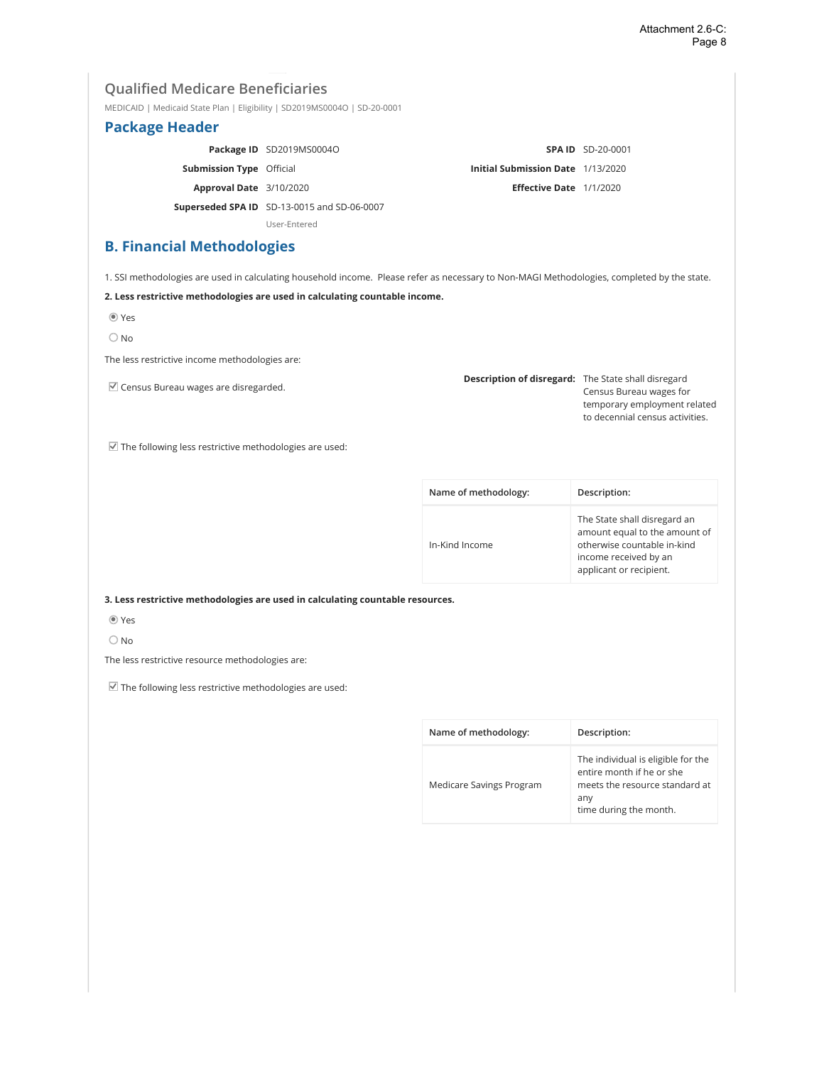### Qualified Medicare Beneficiaries

MEDICAID | Medicaid State Plan | Eligibility | SD2019MS0004O | SD-20-0001

#### Package Header

|                                 | Package ID SD2019MS0004O                           |                                   | <b>SPA ID</b> SD-20-0001 |
|---------------------------------|----------------------------------------------------|-----------------------------------|--------------------------|
| <b>Submission Type Official</b> |                                                    | Initial Submission Date 1/13/2020 |                          |
| Approval Date 3/10/2020         |                                                    | Effective Date 1/1/2020           |                          |
|                                 | <b>Superseded SPA ID</b> SD-13-0015 and SD-06-0007 |                                   |                          |
|                                 | User-Entered                                       |                                   |                          |

# B. Financial Methodologies

1. SSI methodologies are used in calculating household income. Please refer as necessary to Non-MAGI Methodologies, completed by the state.

#### 2. Less restrictive methodologies are used in calculating countable income.

Yes

 $\bigcirc$  No

The less restrictive income methodologies are:

Census Bureau wages are disregarded.

Description of disregard: The State shall disregard

Census Bureau wages for temporary employment related to decennial census activities.

 $\overline{\mathbf{y}}$  The following less restrictive methodologies are used:

| Name of methodology: | Description:                                                                                                                                     |
|----------------------|--------------------------------------------------------------------------------------------------------------------------------------------------|
| In-Kind Income       | The State shall disregard an<br>amount equal to the amount of<br>otherwise countable in-kind<br>income received by an<br>applicant or recipient. |

3. Less restrictive methodologies are used in calculating countable resources.

Yes

 $\bigcirc$  No

The less restrictive resource methodologies are:

 $\blacktriangleright$  The following less restrictive methodologies are used:

| Name of methodology:     | Description:                                                                                                                       |
|--------------------------|------------------------------------------------------------------------------------------------------------------------------------|
| Medicare Savings Program | The individual is eligible for the<br>entire month if he or she<br>meets the resource standard at<br>any<br>time during the month. |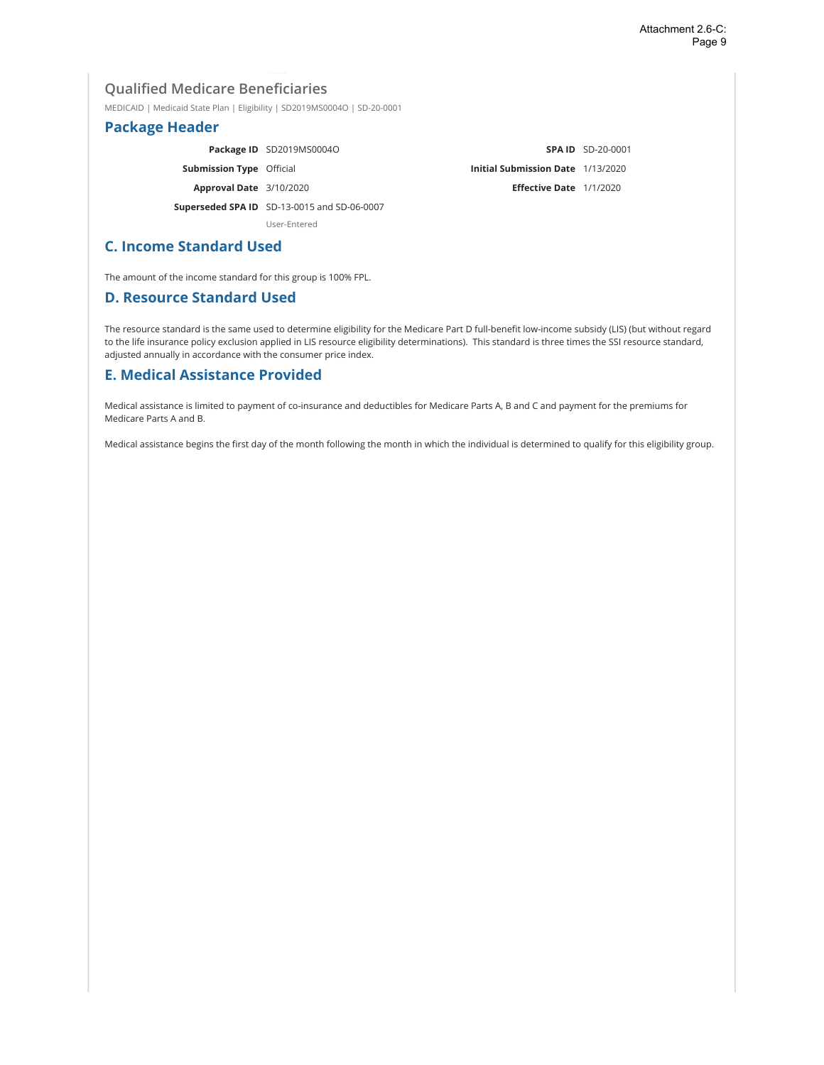### Qualified Medicare Beneficiaries

MEDICAID | Medicaid State Plan | Eligibility | SD2019MS0004O | SD-20-0001

#### Package Header

|                                 | Package ID SD2019MS0004O                    |                                   | <b>SPA ID</b> SD-20-0001 |
|---------------------------------|---------------------------------------------|-----------------------------------|--------------------------|
| <b>Submission Type Official</b> |                                             | Initial Submission Date 1/13/2020 |                          |
| Approval Date 3/10/2020         |                                             | Effective Date 1/1/2020           |                          |
|                                 | Superseded SPA ID SD-13-0015 and SD-06-0007 |                                   |                          |
|                                 | User-Entered                                |                                   |                          |

### C. Income Standard Used

The amount of the income standard for this group is 100% FPL.

### D. Resource Standard Used

The resource standard is the same used to determine eligibility for the Medicare Part D full-benefit low-income subsidy (LIS) (but without regard to the life insurance policy exclusion applied in LIS resource eligibility determinations). This standard is three times the SSI resource standard, adjusted annually in accordance with the consumer price index.

### E. Medical Assistance Provided

Medical assistance is limited to payment of co-insurance and deductibles for Medicare Parts A, B and C and payment for the premiums for Medicare Parts A and B.

Medical assistance begins the first day of the month following the month in which the individual is determined to qualify for this eligibility group.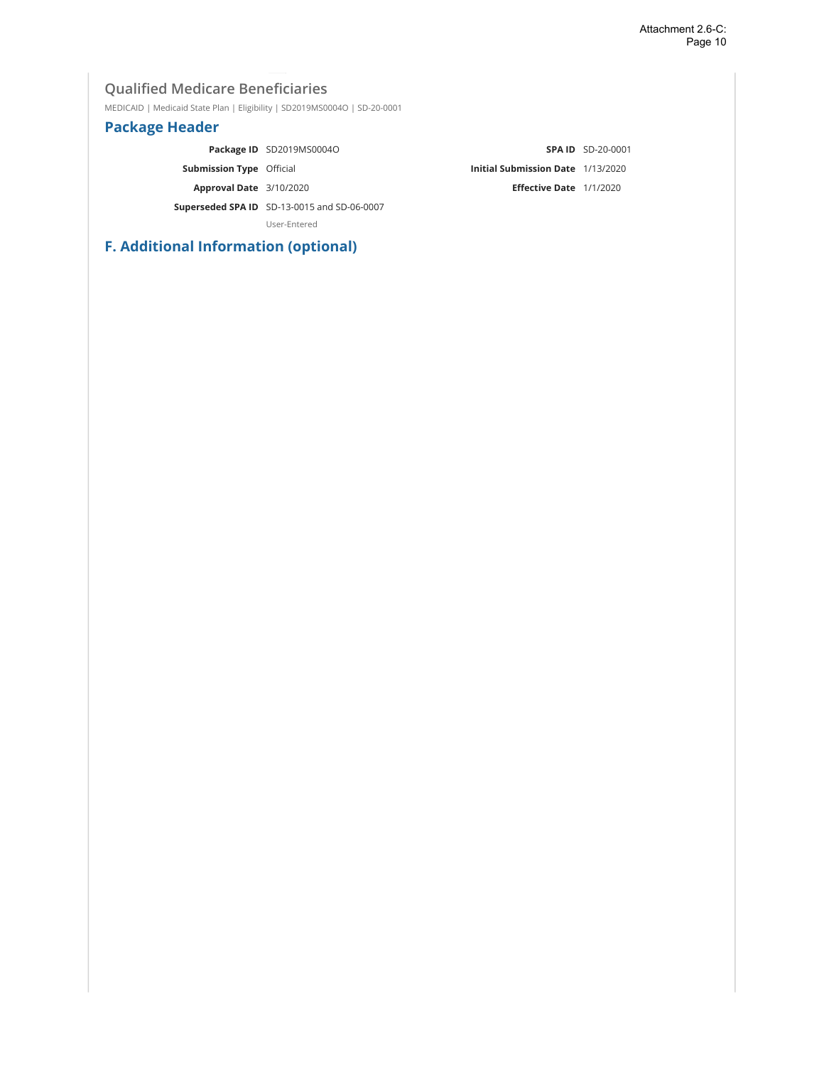# Qualified Medicare Beneficiaries

MEDICAID | Medicaid State Plan | Eligibility | SD2019MS0004O | SD-20-0001

# Package Header

|                                 | Package ID SD2019MS0004O                    |                                   | <b>SPA ID</b> SD-20-0001 |
|---------------------------------|---------------------------------------------|-----------------------------------|--------------------------|
| <b>Submission Type Official</b> |                                             | Initial Submission Date 1/13/2020 |                          |
| Approval Date 3/10/2020         |                                             | Effective Date 1/1/2020           |                          |
|                                 | Superseded SPA ID SD-13-0015 and SD-06-0007 |                                   |                          |
|                                 | User-Entered                                |                                   |                          |

# F. Additional Information (optional)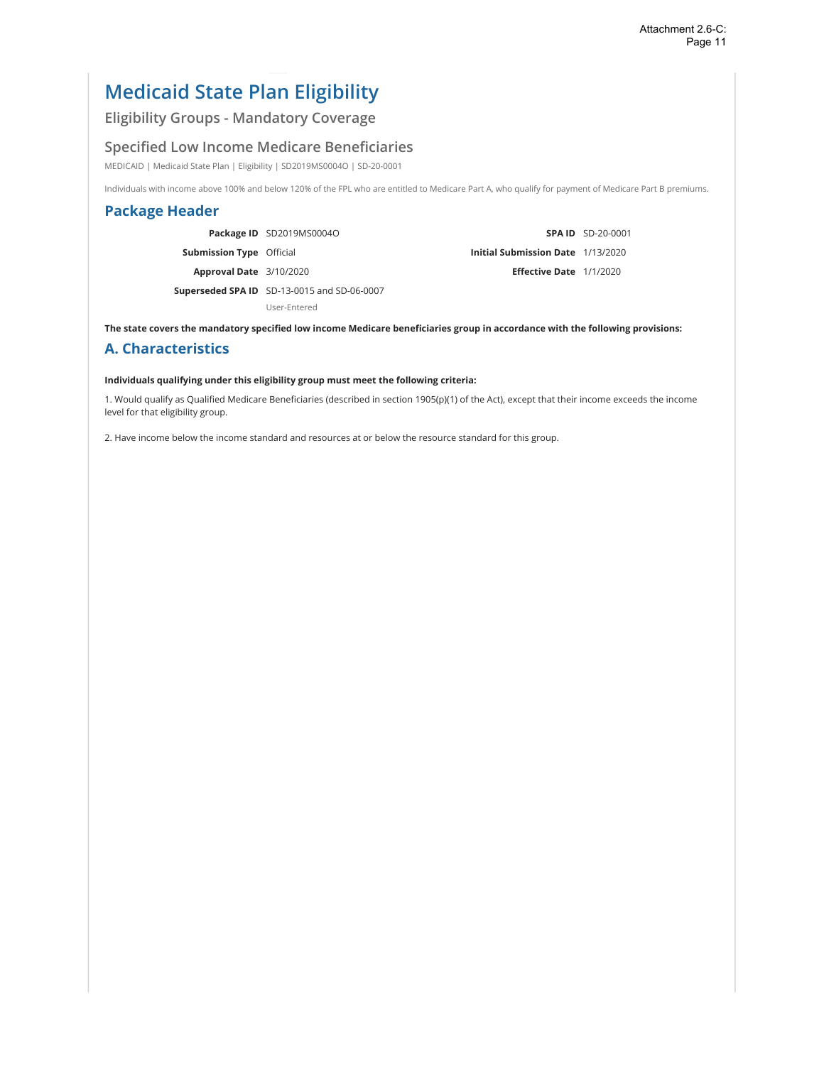# Medicaid State Plan Eligibility

Eligibility Groups - Mandatory Coverage

### Specified Low Income Medicare Beneficiaries

MEDICAID | Medicaid State Plan | Eligibility | SD2019MS0004O | SD-20-0001

Individuals with income above 100% and below 120% of the FPL who are entitled to Medicare Part A, who qualify for payment of Medicare Part B premiums.

### Package Header

Package ID SD2019MS0004O

Submission Type Official

Approval Date 3/10/2020

Superseded SPA ID SD-13-0015 and SD-06-0007 User-Entered

SPA ID SD-20-0001 Initial Submission Date 1/13/2020 Effective Date 1/1/2020

The state covers the mandatory specified low income Medicare beneficiaries group in accordance with the following provisions:

### A. Characteristics

#### Individuals qualifying under this eligibility group must meet the following criteria:

1. Would qualify as Qualified Medicare Beneficiaries (described in section 1905(p)(1) of the Act), except that their income exceeds the income level for that eligibility group.

2. Have income below the income standard and resources at or below the resource standard for this group.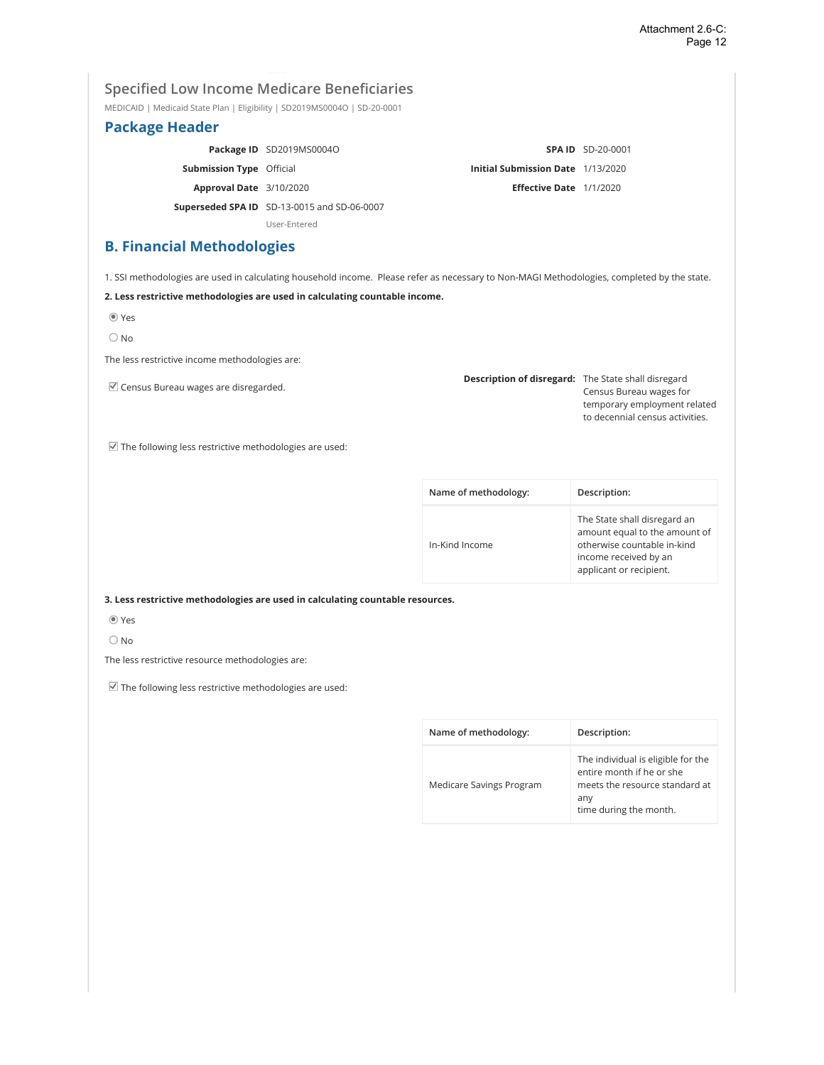# Specified Low Income Medicare Beneficiaries

MEDICAID | Medicaid State Plan | Eligibility | SD2019MS0004O | SD-20-0001

### Package Header

|                                 | Package ID SD2019MS0004O                    |                                   | <b>SPA ID</b> SD-20-0001 |
|---------------------------------|---------------------------------------------|-----------------------------------|--------------------------|
| <b>Submission Type Official</b> |                                             | Initial Submission Date 1/13/2020 |                          |
| Approval Date 3/10/2020         |                                             | Effective Date 1/1/2020           |                          |
|                                 | Superseded SPA ID SD-13-0015 and SD-06-0007 |                                   |                          |
|                                 | User-Entered                                |                                   |                          |

# B. Financial Methodologies

1. SSI methodologies are used in calculating household income. Please refer as necessary to Non-MAGI Methodologies, completed by the state.

#### 2. Less restrictive methodologies are used in calculating countable income.

Yes

 $\bigcirc$  No

The less restrictive income methodologies are:

Census Bureau wages are disregarded.

Description of disregard: The State shall disregard

Census Bureau wages for temporary employment related to decennial census activities.

 $\overline{\mathbf{y}}$  The following less restrictive methodologies are used:

| Name of methodology: | Description:                                                                                                                                     |
|----------------------|--------------------------------------------------------------------------------------------------------------------------------------------------|
| In-Kind Income       | The State shall disregard an<br>amount equal to the amount of<br>otherwise countable in-kind<br>income received by an<br>applicant or recipient. |

3. Less restrictive methodologies are used in calculating countable resources.

Yes

 $\bigcirc$  No

The less restrictive resource methodologies are:

 $\blacktriangleright$  The following less restrictive methodologies are used:

| Name of methodology:     | Description:                                                                                                                       |
|--------------------------|------------------------------------------------------------------------------------------------------------------------------------|
| Medicare Savings Program | The individual is eligible for the<br>entire month if he or she<br>meets the resource standard at<br>any<br>time during the month. |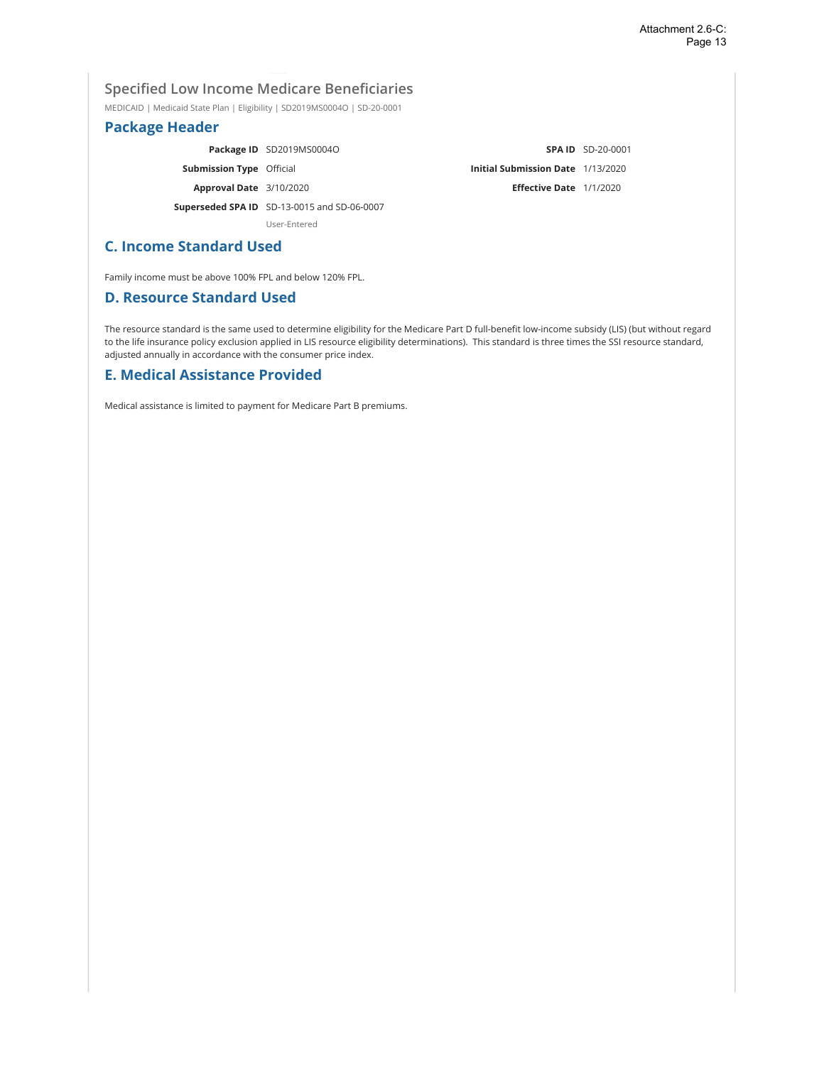## Specified Low Income Medicare Beneficiaries

MEDICAID | Medicaid State Plan | Eligibility | SD2019MS0004O | SD-20-0001

### Package Header

|                                 | Package ID SD2019MS0004O                    |                                   | <b>SPA ID</b> SD-20-0001 |
|---------------------------------|---------------------------------------------|-----------------------------------|--------------------------|
| <b>Submission Type Official</b> |                                             | Initial Submission Date 1/13/2020 |                          |
| Approval Date 3/10/2020         |                                             | Effective Date 1/1/2020           |                          |
|                                 | Superseded SPA ID SD-13-0015 and SD-06-0007 |                                   |                          |
|                                 | User-Entered                                |                                   |                          |

# C. Income Standard Used

Family income must be above 100% FPL and below 120% FPL.

### D. Resource Standard Used

The resource standard is the same used to determine eligibility for the Medicare Part D full-benefit low-income subsidy (LIS) (but without regard to the life insurance policy exclusion applied in LIS resource eligibility determinations). This standard is three times the SSI resource standard, adjusted annually in accordance with the consumer price index.

### E. Medical Assistance Provided

Medical assistance is limited to payment for Medicare Part B premiums.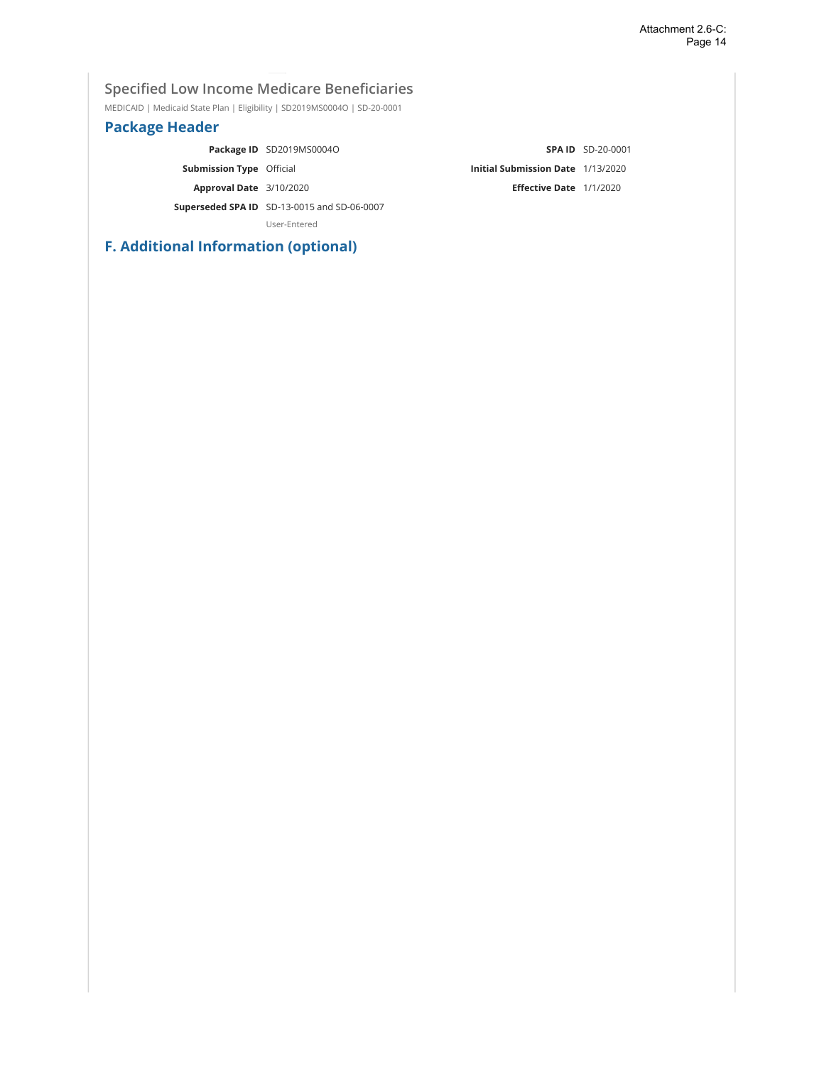# Specified Low Income Medicare Beneficiaries

MEDICAID | Medicaid State Plan | Eligibility | SD2019MS0004O | SD-20-0001

# Package Header

|                                 | Package ID SD2019MS0004O                    |                                   | <b>SPA ID</b> SD-20-0001 |
|---------------------------------|---------------------------------------------|-----------------------------------|--------------------------|
| <b>Submission Type</b> Official |                                             | Initial Submission Date 1/13/2020 |                          |
| Approval Date 3/10/2020         |                                             | Effective Date 1/1/2020           |                          |
|                                 | Superseded SPA ID SD-13-0015 and SD-06-0007 |                                   |                          |
|                                 | User-Entered                                |                                   |                          |

# F. Additional Information (optional)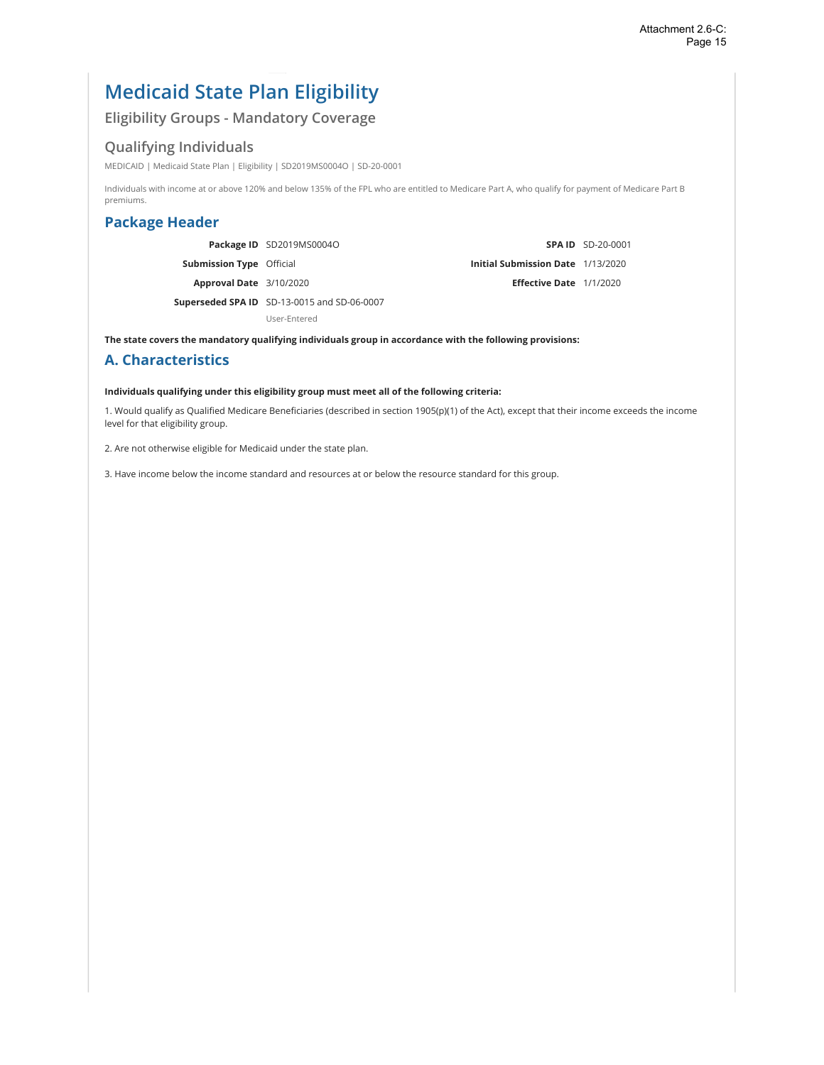# Medicaid State Plan Eligibility

Eligibility Groups - Mandatory Coverage

## Qualifying Individuals

MEDICAID | Medicaid State Plan | Eligibility | SD2019MS0004O | SD-20-0001

Individuals with income at or above 120% and below 135% of the FPL who are entitled to Medicare Part A, who qualify for payment of Medicare Part B premiums.

### Package Header

| Package ID SD2019MS0004O |
|--------------------------|
|--------------------------|

Submission Type Official

Approval Date 3/10/2020

Superseded SPA ID SD-13-0015 and SD-06-0007 User-Entered

SPA ID SD-20-0001 Initial Submission Date 1/13/2020 Effective Date 1/1/2020

The state covers the mandatory qualifying individuals group in accordance with the following provisions:

#### A. Characteristics

#### Individuals qualifying under this eligibility group must meet all of the following criteria:

1. Would qualify as Qualified Medicare Beneficiaries (described in section 1905(p)(1) of the Act), except that their income exceeds the income level for that eligibility group.

2. Are not otherwise eligible for Medicaid under the state plan.

3. Have income below the income standard and resources at or below the resource standard for this group.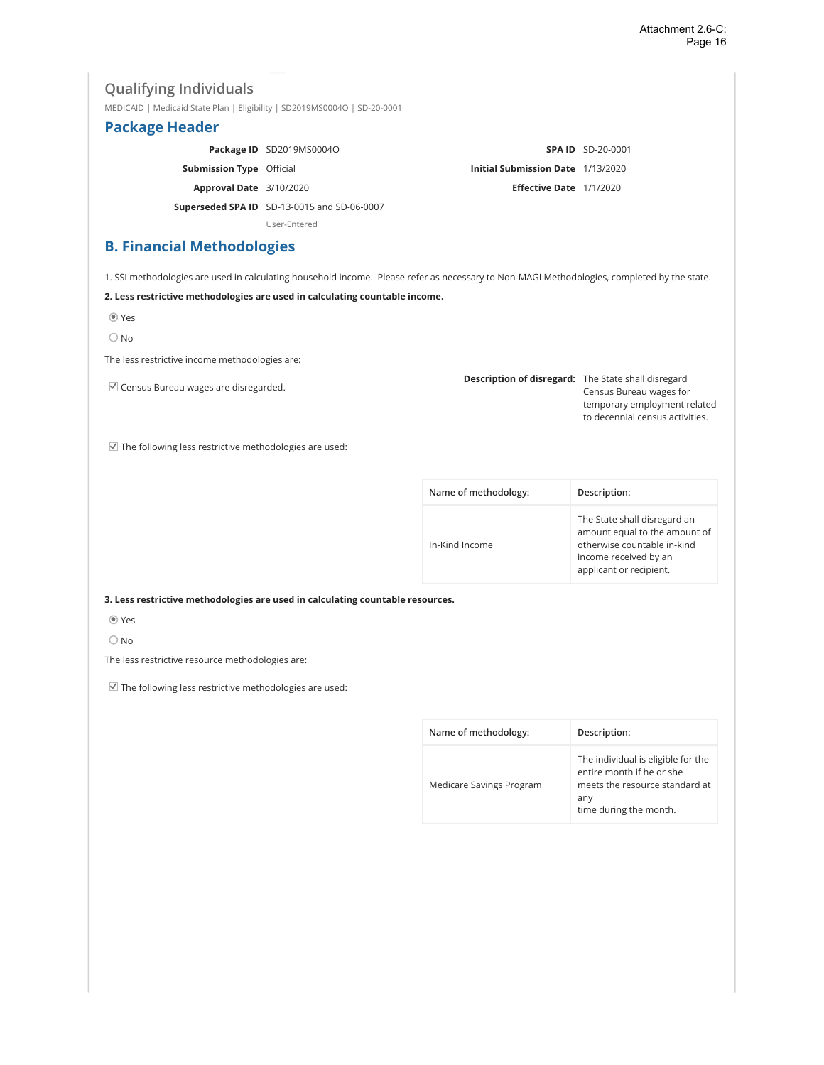### Qualifying Individuals

MEDICAID | Medicaid State Plan | Eligibility | SD2019MS0004O | SD-20-0001

### Package Header

|                                 | Package ID SD2019MS0004O                    |                                          | <b>SPA ID</b> SD-20-0001 |
|---------------------------------|---------------------------------------------|------------------------------------------|--------------------------|
| <b>Submission Type</b> Official |                                             | <b>Initial Submission Date 1/13/2020</b> |                          |
| Approval Date 3/10/2020         |                                             | Effective Date 1/1/2020                  |                          |
|                                 | Superseded SPA ID SD-13-0015 and SD-06-0007 |                                          |                          |
|                                 | User-Entered                                |                                          |                          |

# B. Financial Methodologies

1. SSI methodologies are used in calculating household income. Please refer as necessary to Non-MAGI Methodologies, completed by the state.

#### 2. Less restrictive methodologies are used in calculating countable income.

Yes

 $\bigcirc$  No

The less restrictive income methodologies are:

Census Bureau wages are disregarded.

Description of disregard: The State shall disregard

Census Bureau wages for temporary employment related to decennial census activities.

 $\overline{\mathbf{y}}$  The following less restrictive methodologies are used:

| Name of methodology: | Description:                                                                                                                                     |
|----------------------|--------------------------------------------------------------------------------------------------------------------------------------------------|
| In-Kind Income       | The State shall disregard an<br>amount equal to the amount of<br>otherwise countable in-kind<br>income received by an<br>applicant or recipient. |

3. Less restrictive methodologies are used in calculating countable resources.

Yes

 $\bigcirc$  No

The less restrictive resource methodologies are:

 $\blacktriangleright$  The following less restrictive methodologies are used:

| Name of methodology:     | Description:                                                                                                                       |
|--------------------------|------------------------------------------------------------------------------------------------------------------------------------|
| Medicare Savings Program | The individual is eligible for the<br>entire month if he or she<br>meets the resource standard at<br>any<br>time during the month. |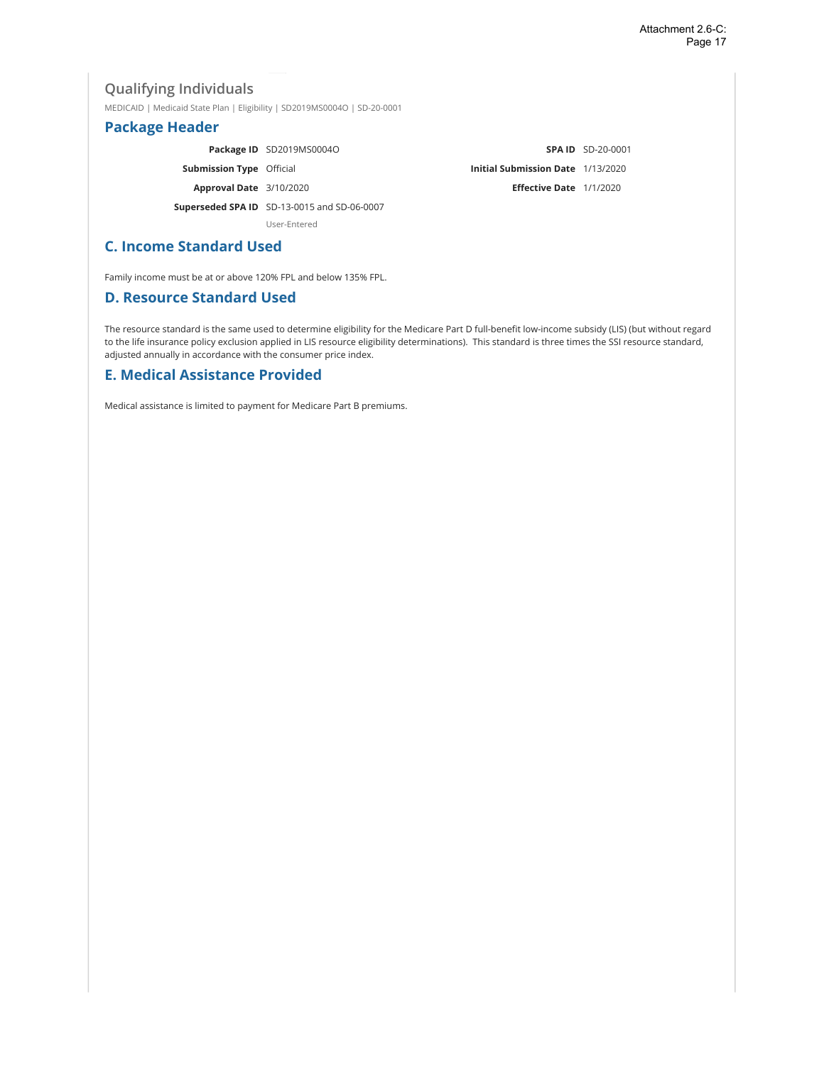## Qualifying Individuals

MEDICAID | Medicaid State Plan | Eligibility | SD2019MS0004O | SD-20-0001

## Package Header

|                                 | Package ID SD2019MS0004O                    |                                   | <b>SPA ID</b> SD-20-0001 |
|---------------------------------|---------------------------------------------|-----------------------------------|--------------------------|
| <b>Submission Type Official</b> |                                             | Initial Submission Date 1/13/2020 |                          |
| Approval Date 3/10/2020         |                                             | Effective Date 1/1/2020           |                          |
|                                 | Superseded SPA ID SD-13-0015 and SD-06-0007 |                                   |                          |
|                                 | User-Entered                                |                                   |                          |

### C. Income Standard Used

Family income must be at or above 120% FPL and below 135% FPL.

### D. Resource Standard Used

The resource standard is the same used to determine eligibility for the Medicare Part D full-benefit low-income subsidy (LIS) (but without regard to the life insurance policy exclusion applied in LIS resource eligibility determinations). This standard is three times the SSI resource standard, adjusted annually in accordance with the consumer price index.

### E. Medical Assistance Provided

Medical assistance is limited to payment for Medicare Part B premiums.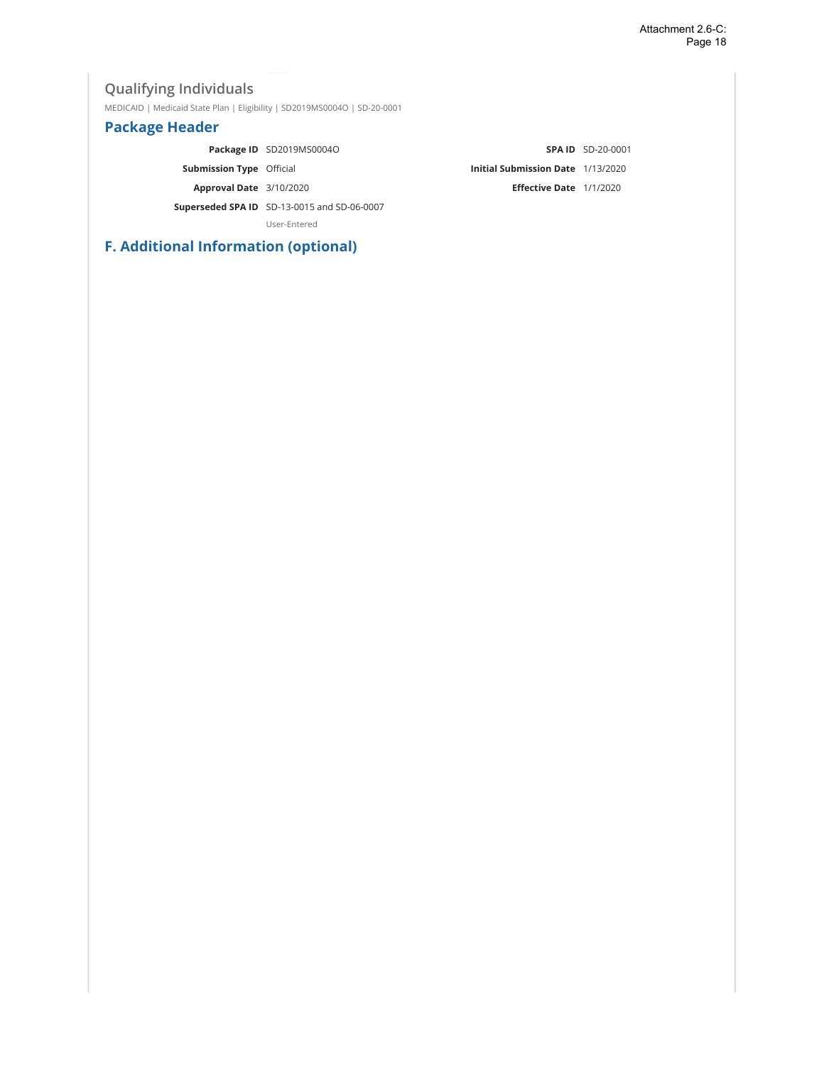# Qualifying Individuals

MEDICAID | Medicaid State Plan | Eligibility | SD2019MS0004O | SD-20-0001

# Package Header

|                                 | Package ID SD2019MS0004O                    |                                          | <b>SPA ID</b> SD-20-0001 |
|---------------------------------|---------------------------------------------|------------------------------------------|--------------------------|
| <b>Submission Type Official</b> |                                             | <b>Initial Submission Date 1/13/2020</b> |                          |
| Approval Date 3/10/2020         |                                             | Effective Date 1/1/2020                  |                          |
|                                 | Superseded SPA ID SD-13-0015 and SD-06-0007 |                                          |                          |
|                                 | User-Entered                                |                                          |                          |

# F. Additional Information (optional)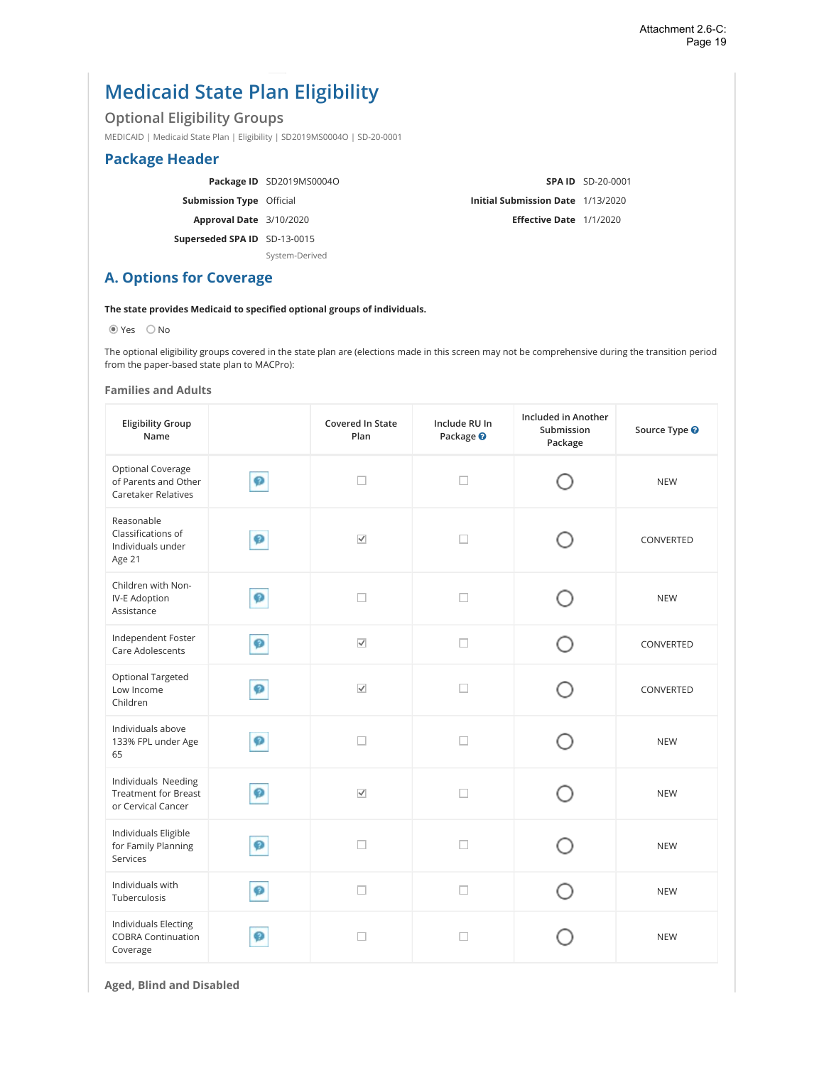# Medicaid State Plan Eligibility

Optional Eligibility Groups

MEDICAID | Medicaid State Plan | Eligibility | SD2019MS0004O | SD-20-0001

### Package Header

|                                 | Package ID SD2019MS0004O |                                   | <b>SPA ID</b> SD-20-0001 |
|---------------------------------|--------------------------|-----------------------------------|--------------------------|
| <b>Submission Type Official</b> |                          | Initial Submission Date 1/13/2020 |                          |
| Approval Date 3/10/2020         |                          | Effective Date 1/1/2020           |                          |
| Superseded SPA ID SD-13-0015    |                          |                                   |                          |
|                                 | System-Derived           |                                   |                          |

# A. Options for Coverage

The state provides Medicaid to specified optional groups of individuals.

 $\odot$  Yes  $\odot$  No

The optional eligibility groups covered in the state plan are (elections made in this screen may not be comprehensive during the transition period from the paper-based state plan to MACPro):

#### Families and Adults

| <b>Eligibility Group</b><br>Name                                         |   | <b>Covered In State</b><br>Plan | Include RU In<br>Package <sup>O</sup> | Included in Another<br>Submission<br>Package | Source Type <sup>O</sup> |
|--------------------------------------------------------------------------|---|---------------------------------|---------------------------------------|----------------------------------------------|--------------------------|
| Optional Coverage<br>of Parents and Other<br>Caretaker Relatives         | ø | п                               | $\Box$                                |                                              | <b>NEW</b>               |
| Reasonable<br>Classifications of<br>Individuals under<br>Age 21          | ø | $\overline{\checkmark}$         | $\Box$                                |                                              | CONVERTED                |
| Children with Non-<br>IV-E Adoption<br>Assistance                        | ◉ | П                               | $\Box$                                |                                              | <b>NEW</b>               |
| Independent Foster<br>Care Adolescents                                   | ø | $\overline{\checkmark}$         | $\Box$                                |                                              | CONVERTED                |
| Optional Targeted<br>Low Income<br>Children                              | ø | $\overline{\checkmark}$         | $\Box$                                |                                              | CONVERTED                |
| Individuals above<br>133% FPL under Age<br>65                            | ø | П                               | $\Box$                                |                                              | <b>NEW</b>               |
| Individuals Needing<br><b>Treatment for Breast</b><br>or Cervical Cancer | ø | $\overline{\mathbf{v}}$         | $\Box$                                |                                              | <b>NEW</b>               |
| Individuals Eligible<br>for Family Planning<br>Services                  | ø | П                               | П                                     |                                              | <b>NEW</b>               |
| Individuals with<br>Tuberculosis                                         | ø | $\Box$                          | $\Box$                                |                                              | <b>NEW</b>               |
| Individuals Electing<br><b>COBRA Continuation</b><br>Coverage            | ℯ |                                 | П                                     |                                              | <b>NEW</b>               |

Aged, Blind and Disabled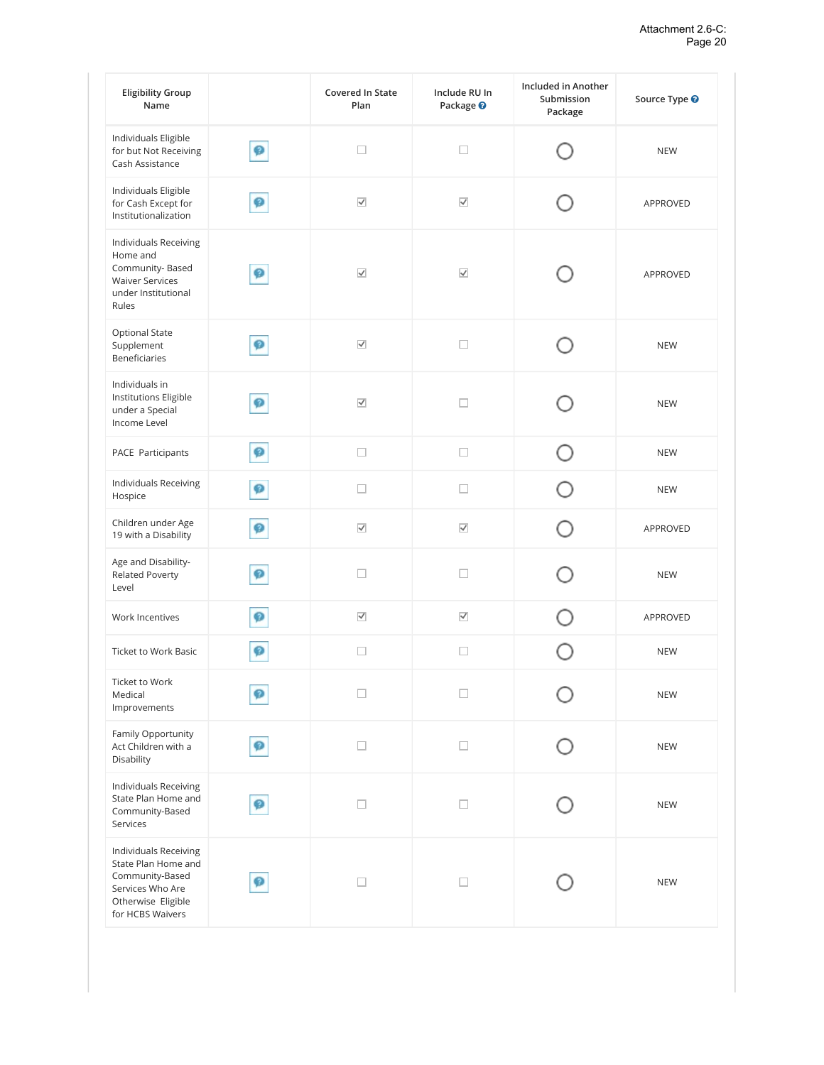| <b>Eligibility Group</b><br>Name                                                                                              |   | Covered In State<br>Plan | Include RU In<br>Package <sup>O</sup> | Included in Another<br>Submission<br>Package | Source Type <sup>O</sup> |
|-------------------------------------------------------------------------------------------------------------------------------|---|--------------------------|---------------------------------------|----------------------------------------------|--------------------------|
| Individuals Eligible<br>for but Not Receiving<br>Cash Assistance                                                              | ø | П                        | П                                     |                                              | <b>NEW</b>               |
| Individuals Eligible<br>for Cash Except for<br>Institutionalization                                                           | ◉ | $\overline{\checkmark}$  | $\blacktriangledown$                  |                                              | APPROVED                 |
| Individuals Receiving<br>Home and<br>Community-Based<br><b>Waiver Services</b><br>under Institutional<br>Rules                | ø | $\overline{\checkmark}$  | $\overline{\checkmark}$               |                                              | APPROVED                 |
| Optional State<br>Supplement<br><b>Beneficiaries</b>                                                                          | ø | $\overline{\checkmark}$  | П                                     |                                              | <b>NEW</b>               |
| Individuals in<br>Institutions Eligible<br>under a Special<br>Income Level                                                    | ø | $\overline{\checkmark}$  | $\Box$                                |                                              | <b>NEW</b>               |
| PACE Participants                                                                                                             | ø | П                        | $\Box$                                |                                              | <b>NEW</b>               |
| Individuals Receiving<br>Hospice                                                                                              | ø | □                        | □                                     |                                              | <b>NEW</b>               |
| Children under Age<br>19 with a Disability                                                                                    | ø | $\overline{\checkmark}$  | $\blacktriangledown$                  |                                              | APPROVED                 |
| Age and Disability-<br><b>Related Poverty</b><br>Level                                                                        | ø | $\overline{\phantom{a}}$ | П                                     |                                              | <b>NEW</b>               |
| Work Incentives                                                                                                               | ø | $\blacktriangledown$     | $\blacktriangledown$                  |                                              | APPROVED                 |
| <b>Ticket to Work Basic</b>                                                                                                   | ø | □                        | □                                     |                                              | <b>NEW</b>               |
| Ticket to Work<br>Medical<br>Improvements                                                                                     | ø | П                        | $\Box$                                |                                              | <b>NEW</b>               |
| Family Opportunity<br>Act Children with a<br>Disability                                                                       | ø | П                        | $\Box$                                |                                              | <b>NEW</b>               |
| Individuals Receiving<br>State Plan Home and<br>Community-Based<br>Services                                                   | ø | □                        | $\Box$                                |                                              | <b>NEW</b>               |
| Individuals Receiving<br>State Plan Home and<br>Community-Based<br>Services Who Are<br>Otherwise Eligible<br>for HCBS Waivers | Ø | П                        | $\Box$                                |                                              | <b>NEW</b>               |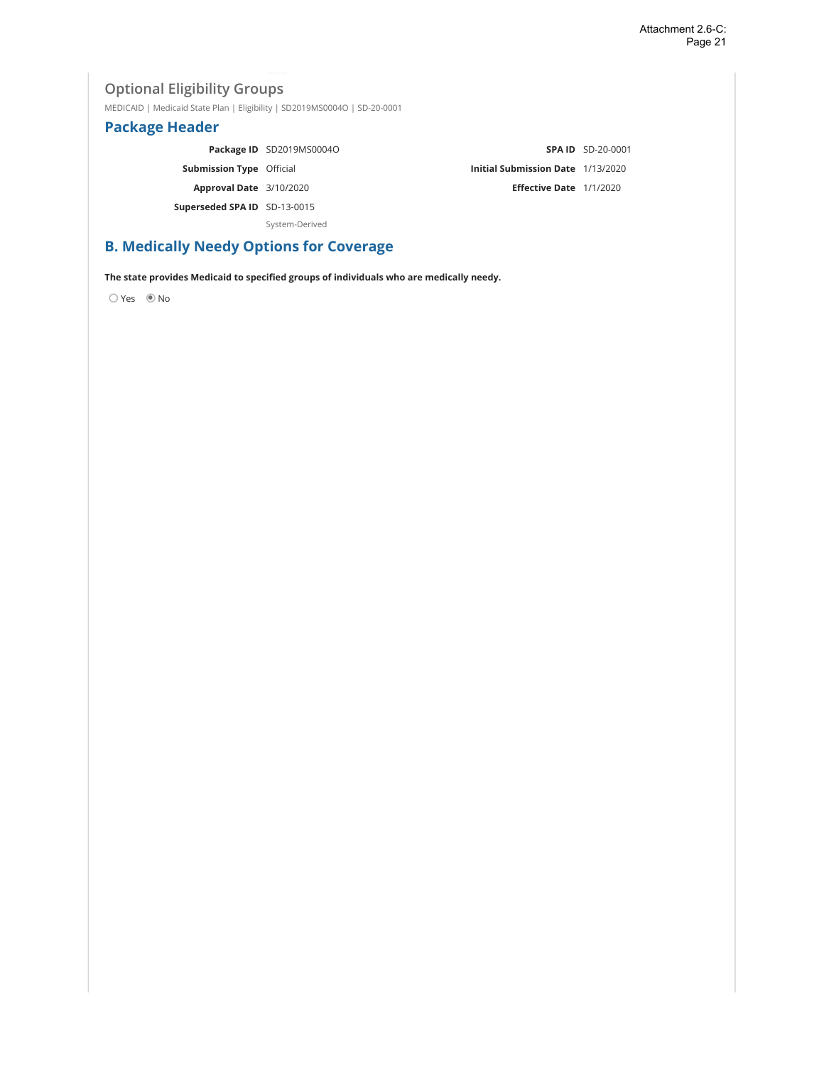# Optional Eligibility Groups

MEDICAID | Medicaid State Plan | Eligibility | SD2019MS0004O | SD-20-0001

# Package Header

|                                 | Package ID SD2019MS0004O |                                          | <b>SPA ID</b> SD-20-0001 |
|---------------------------------|--------------------------|------------------------------------------|--------------------------|
| <b>Submission Type</b> Official |                          | <b>Initial Submission Date 1/13/2020</b> |                          |
| Approval Date 3/10/2020         |                          | Effective Date 1/1/2020                  |                          |
| Superseded SPA ID SD-13-0015    |                          |                                          |                          |
|                                 | System-Derived           |                                          |                          |

# B. Medically Needy Options for Coverage

The state provides Medicaid to specified groups of individuals who are medically needy.

 $\bigcirc$  Yes  $\circledast$  No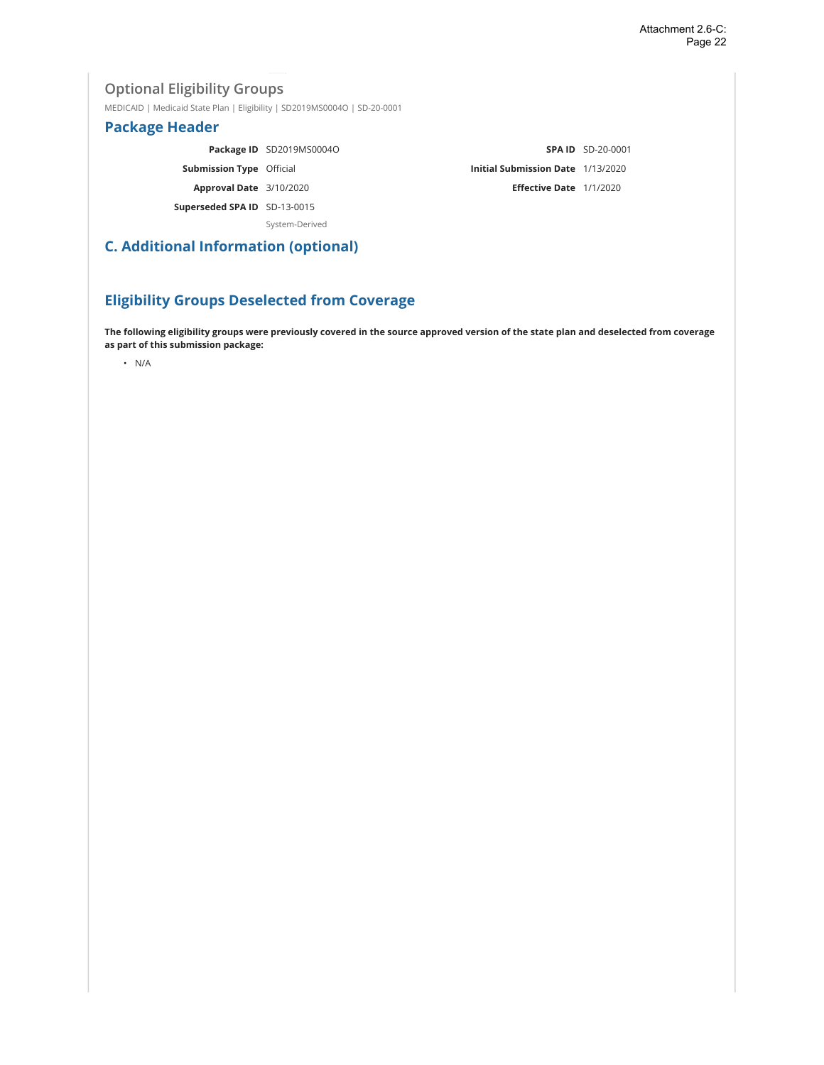# Optional Eligibility Groups

MEDICAID | Medicaid State Plan | Eligibility | SD2019MS0004O | SD-20-0001

## Package Header

|                                 | Package ID SD2019MS0004O |                                   | <b>SPA ID</b> SD-20-0001 |
|---------------------------------|--------------------------|-----------------------------------|--------------------------|
| <b>Submission Type Official</b> |                          | Initial Submission Date 1/13/2020 |                          |
| Approval Date 3/10/2020         |                          | Effective Date 1/1/2020           |                          |
| Superseded SPA ID SD-13-0015    |                          |                                   |                          |
|                                 | System-Derived           |                                   |                          |

# C. Additional Information (optional)

# Eligibility Groups Deselected from Coverage

The following eligibility groups were previously covered in the source approved version of the state plan and deselected from coverage as part of this submission package:

• N/A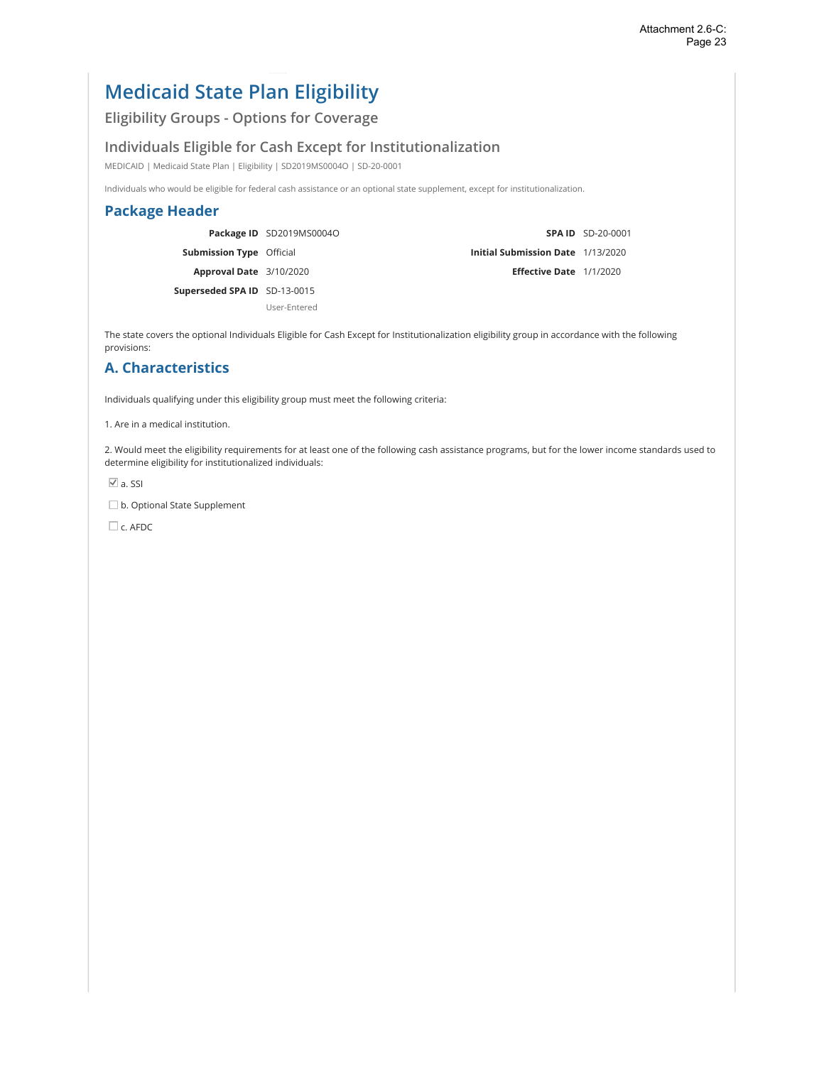# Medicaid State Plan Eligibility

Eligibility Groups - Options for Coverage

## Individuals Eligible for Cash Except for Institutionalization

MEDICAID | Medicaid State Plan | Eligibility | SD2019MS0004O | SD-20-0001

Individuals who would be eligible for federal cash assistance or an optional state supplement, except for institutionalization.

### Package Header

Package ID SD2019MS0004O

Submission Type Official Approval Date 3/10/2020 Superseded SPA ID SD-13-0015

SPA ID SD-20-0001 Initial Submission Date 1/13/2020 Effective Date 1/1/2020

The state covers the optional Individuals Eligible for Cash Except for Institutionalization eligibility group in accordance with the following provisions:

### A. Characteristics

Individuals qualifying under this eligibility group must meet the following criteria:

User-Entered

1. Are in a medical institution.

2. Would meet the eligibility requirements for at least one of the following cash assistance programs, but for the lower income standards used to determine eligibility for institutionalized individuals:

 $\overline{\mathsf{L}}$  a. SSI

b. Optional State Supplement

 $\Box$  c. AFDC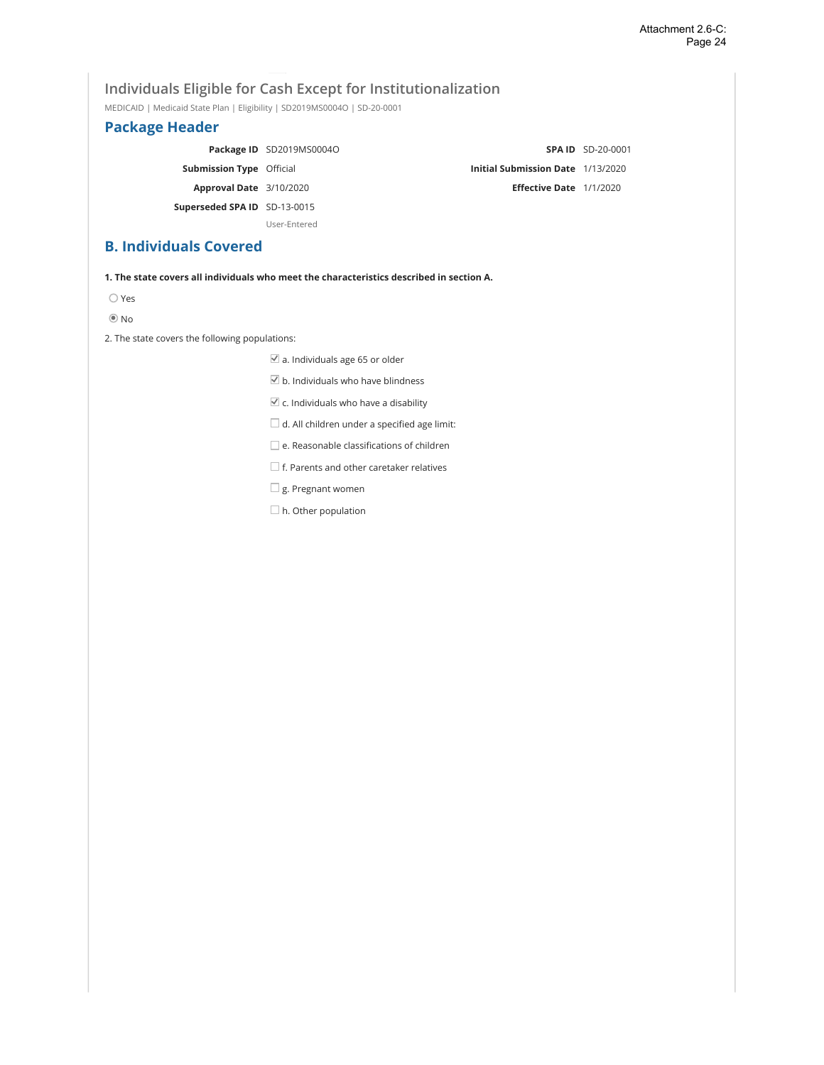MEDICAID | Medicaid State Plan | Eligibility | SD2019MS0004O | SD-20-0001

## Package Header

|                                 | Package ID SD2019MS0004O |                                          | <b>SPA ID</b> SD-20-0001 |
|---------------------------------|--------------------------|------------------------------------------|--------------------------|
| <b>Submission Type Official</b> |                          | <b>Initial Submission Date 1/13/2020</b> |                          |
| Approval Date 3/10/2020         |                          | Effective Date 1/1/2020                  |                          |
| Superseded SPA ID SD-13-0015    |                          |                                          |                          |
|                                 | User-Entered             |                                          |                          |

# B. Individuals Covered

1. The state covers all individuals who meet the characteristics described in section A.

Yes

 $\odot$  No

2. The state covers the following populations:

 $\blacksquare$  a. Individuals age 65 or older

 $\overline{\mathcal{L}}$  b. Individuals who have blindness

 $\overline{\mathbb{C}}$  c. Individuals who have a disability

 $\square$  d. All children under a specified age limit:

 $\square$  e. Reasonable classifications of children

 $\Box$  f. Parents and other caretaker relatives

 $\square$  g. Pregnant women

 $\square$  h. Other population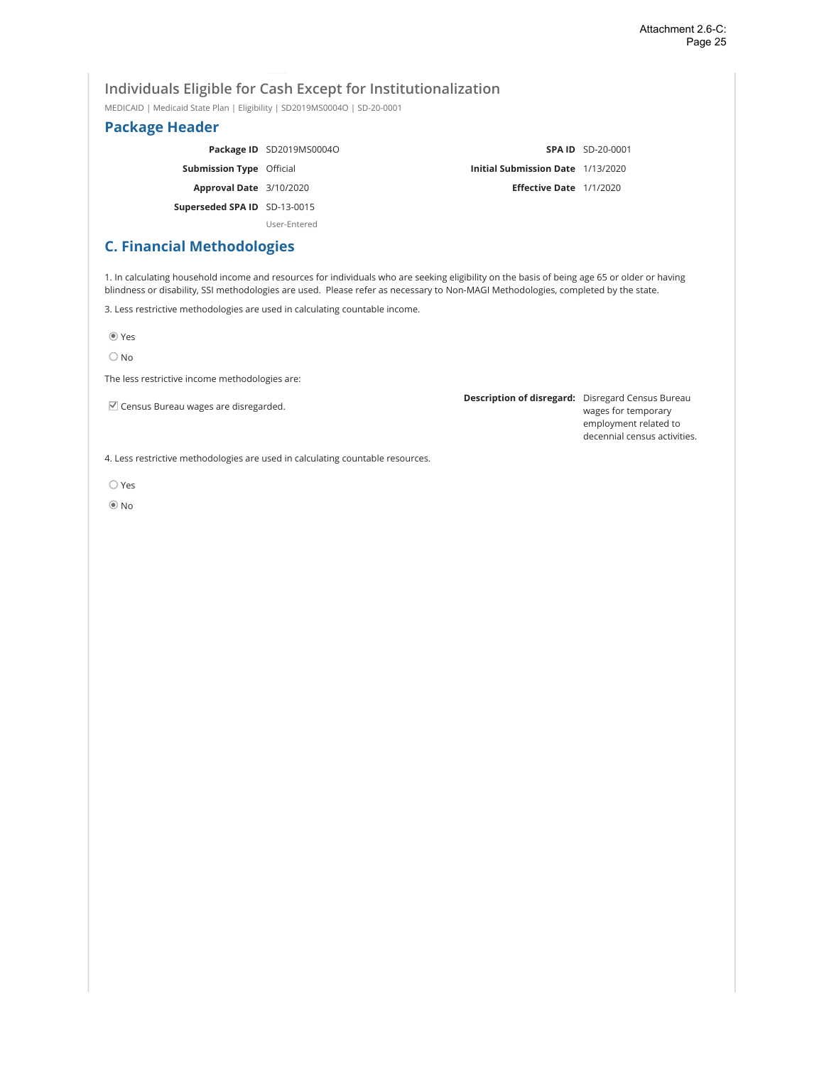MEDICAID | Medicaid State Plan | Eligibility | SD2019MS0004O | SD-20-0001

### Package Header

|                                 | Package ID SD2019MS0004O |                                   | <b>SPA ID</b> SD-20-0001 |
|---------------------------------|--------------------------|-----------------------------------|--------------------------|
| <b>Submission Type Official</b> |                          | Initial Submission Date 1/13/2020 |                          |
| Approval Date 3/10/2020         |                          | Effective Date 1/1/2020           |                          |
| Superseded SPA ID SD-13-0015    |                          |                                   |                          |
|                                 | User-Entered             |                                   |                          |

# C. Financial Methodologies

1. In calculating household income and resources for individuals who are seeking eligibility on the basis of being age 65 or older or having blindness or disability, SSI methodologies are used. Please refer as necessary to Non-MAGI Methodologies, completed by the state.

3. Less restrictive methodologies are used in calculating countable income.

Yes

 $\bigcirc$  No

The less restrictive income methodologies are:

Census Bureau wages are disregarded.

Description of disregard: Disregard Census Bureau

wages for temporary employment related to decennial census activities.

4. Less restrictive methodologies are used in calculating countable resources.

Yes

No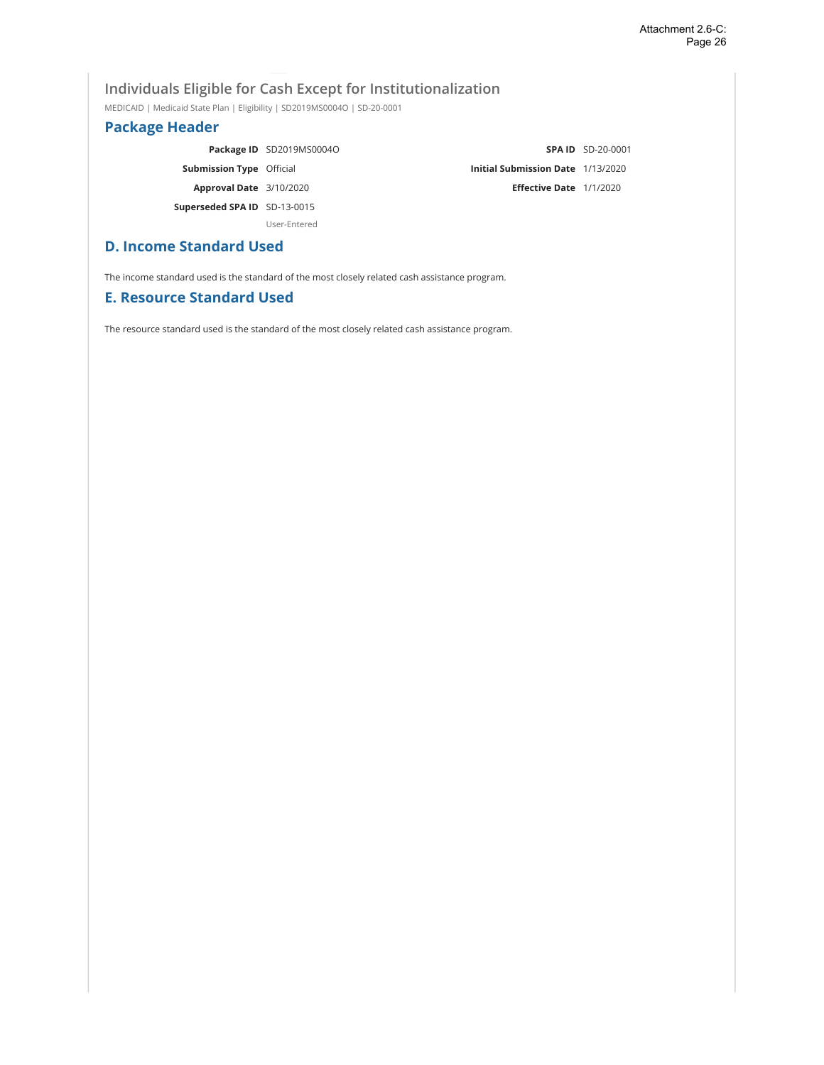MEDICAID | Medicaid State Plan | Eligibility | SD2019MS0004O | SD-20-0001

# Package Header

|                                 | Package ID SD2019MS0004O |                                          | <b>SPA ID</b> SD-20-0001 |
|---------------------------------|--------------------------|------------------------------------------|--------------------------|
| <b>Submission Type Official</b> |                          | <b>Initial Submission Date 1/13/2020</b> |                          |
| Approval Date 3/10/2020         |                          | Effective Date 1/1/2020                  |                          |
| Superseded SPA ID SD-13-0015    |                          |                                          |                          |
|                                 | User-Entered             |                                          |                          |

# D. Income Standard Used

The income standard used is the standard of the most closely related cash assistance program.

### E. Resource Standard Used

The resource standard used is the standard of the most closely related cash assistance program.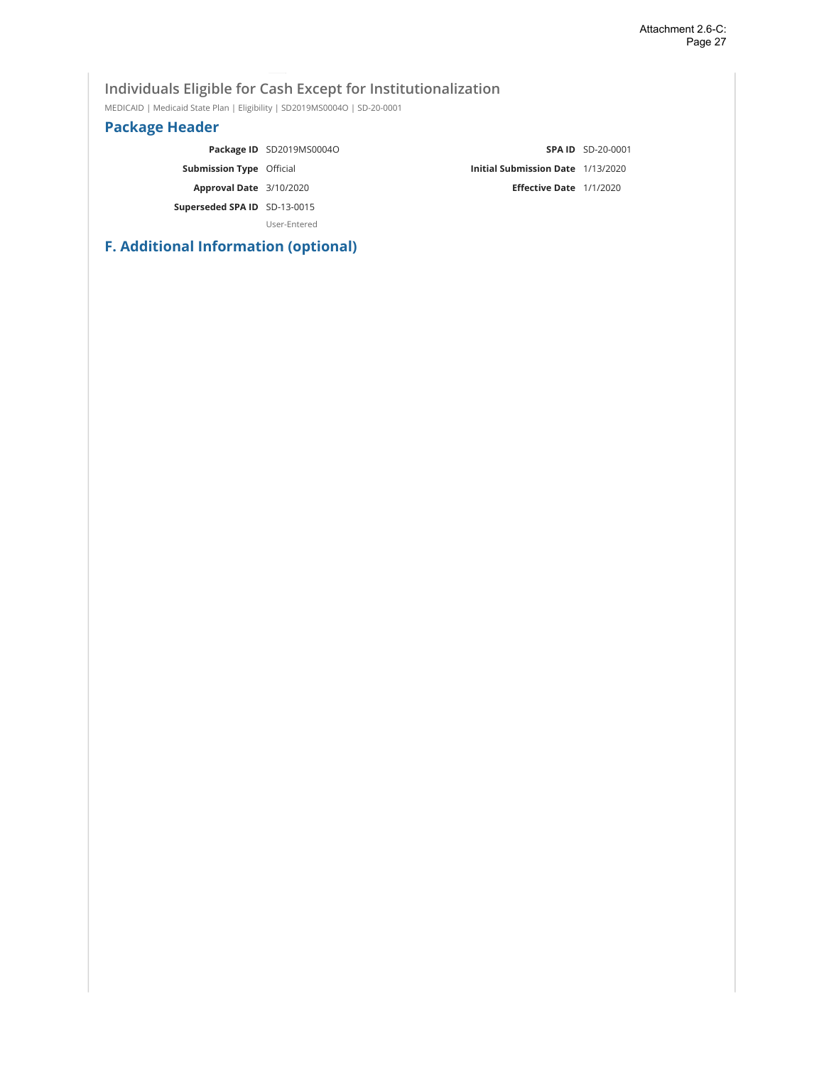MEDICAID | Medicaid State Plan | Eligibility | SD2019MS0004O | SD-20-0001

# Package Header

|                                 | Package ID SD2019MS0004O |                                   | <b>SPA ID</b> SD-20-0001 |
|---------------------------------|--------------------------|-----------------------------------|--------------------------|
| <b>Submission Type Official</b> |                          | Initial Submission Date 1/13/2020 |                          |
| Approval Date 3/10/2020         |                          | Effective Date 1/1/2020           |                          |
| Superseded SPA ID SD-13-0015    |                          |                                   |                          |
|                                 | User-Entered             |                                   |                          |

# F. Additional Information (optional)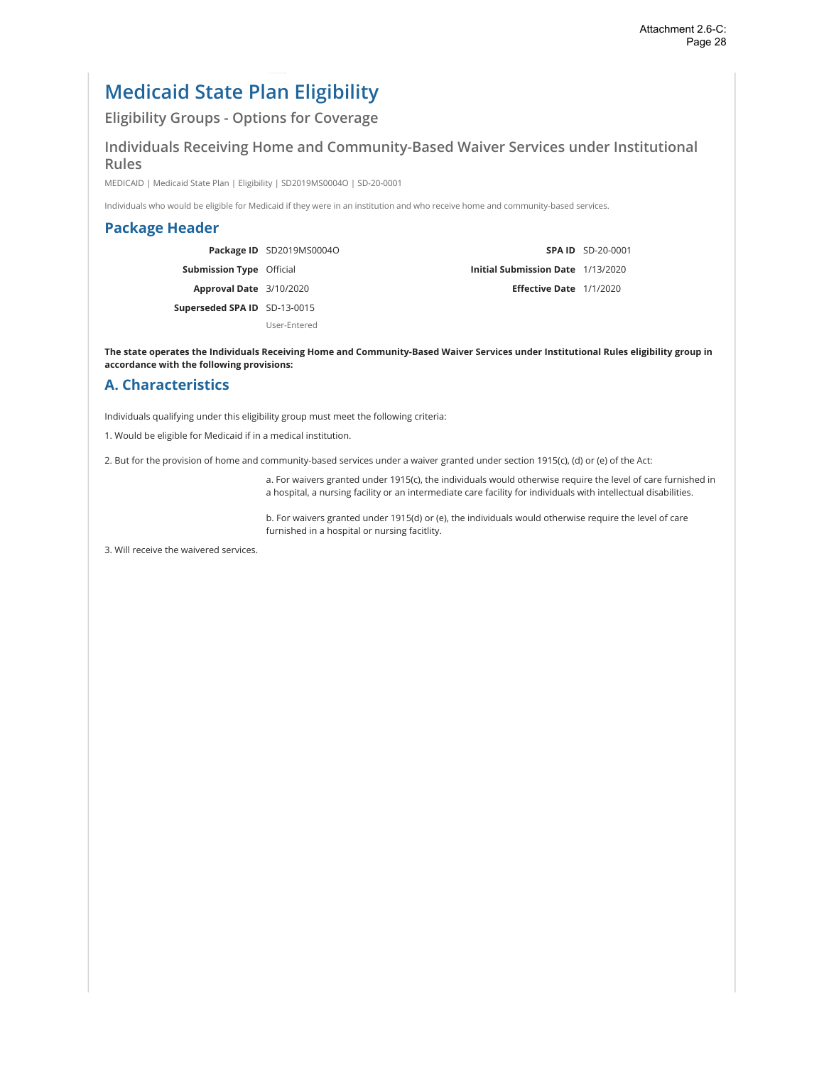# Medicaid State Plan Eligibility

Eligibility Groups - Options for Coverage

Individuals Receiving Home and Community-Based Waiver Services under Institutional Rules

MEDICAID | Medicaid State Plan | Eligibility | SD2019MS0004O | SD-20-0001

Individuals who would be eligible for Medicaid if they were in an institution and who receive home and community-based services.

#### Package Header

Package ID SD2019MS0004O Submission Type Official Approval Date 3/10/2020 Superseded SPA ID SD-13-0015 User-Entered

SPA ID SD-20-0001 Initial Submission Date 1/13/2020 Effective Date 1/1/2020

The state operates the Individuals Receiving Home and Community-Based Waiver Services under Institutional Rules eligibility group in accordance with the following provisions:

### A. Characteristics

Individuals qualifying under this eligibility group must meet the following criteria:

1. Would be eligible for Medicaid if in a medical institution.

2. But for the provision of home and community-based services under a waiver granted under section 1915(c), (d) or (e) of the Act:

a. For waivers granted under 1915(c), the individuals would otherwise require the level of care furnished in a hospital, a nursing facility or an intermediate care facility for individuals with intellectual disabilities.

b. For waivers granted under 1915(d) or (e), the individuals would otherwise require the level of care furnished in a hospital or nursing facitlity.

3. Will receive the waivered services.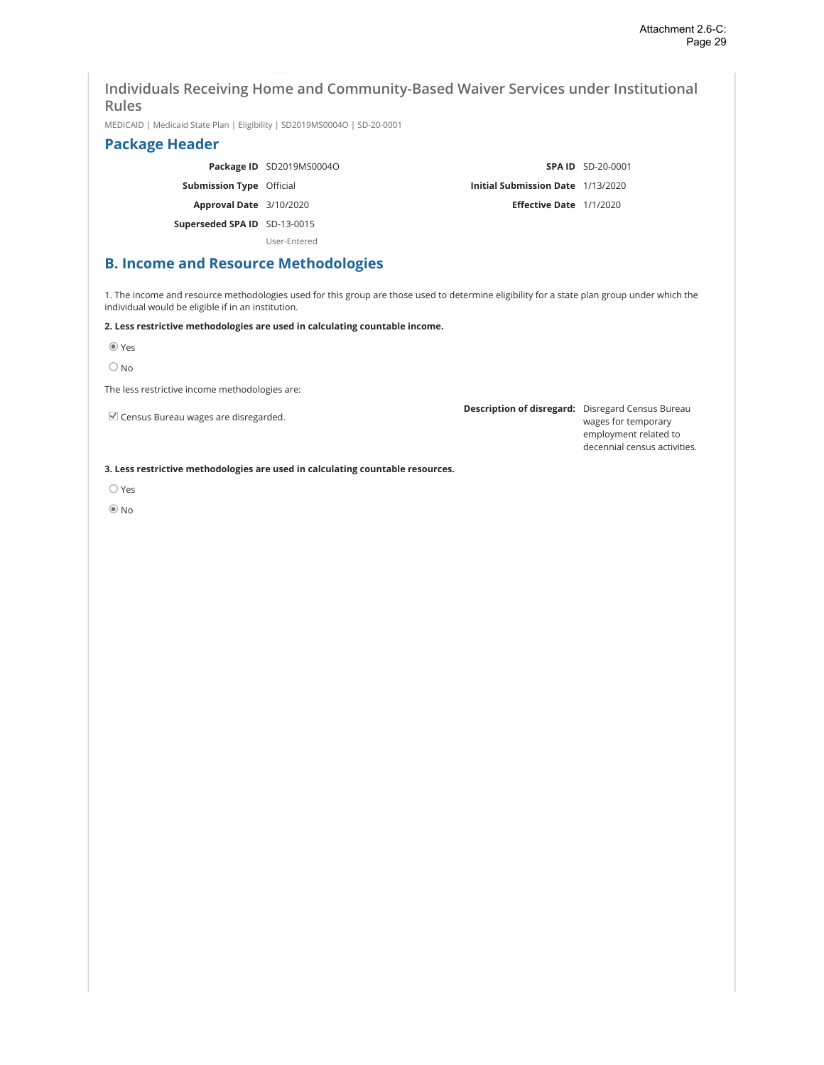Individuals Receiving Home and Community-Based Waiver Services under Institutional Rules

MEDICAID | Medicaid State Plan | Eligibility | SD2019MS0004O | SD-20-0001

### Package Header

|                                 | Package ID SD2019MS0004O |                                          | <b>SPA ID</b> SD-20-0001 |  |
|---------------------------------|--------------------------|------------------------------------------|--------------------------|--|
| <b>Submission Type Official</b> |                          | <b>Initial Submission Date 1/13/2020</b> |                          |  |
| Approval Date 3/10/2020         |                          | Effective Date 1/1/2020                  |                          |  |
| Superseded SPA ID SD-13-0015    |                          |                                          |                          |  |
|                                 | User-Entered             |                                          |                          |  |

# B. Income and Resource Methodologies

1. The income and resource methodologies used for this group are those used to determine eligibility for a state plan group under which the individual would be eligible if in an institution.

2. Less restrictive methodologies are used in calculating countable income.

Yes

 $\bigcirc$  No

The less restrictive income methodologies are:

Census Bureau wages are disregarded.

Description of disregard: Disregard Census Bureau wages for temporary employment related to decennial census activities.

3. Less restrictive methodologies are used in calculating countable resources.

Yes

 $\odot$  No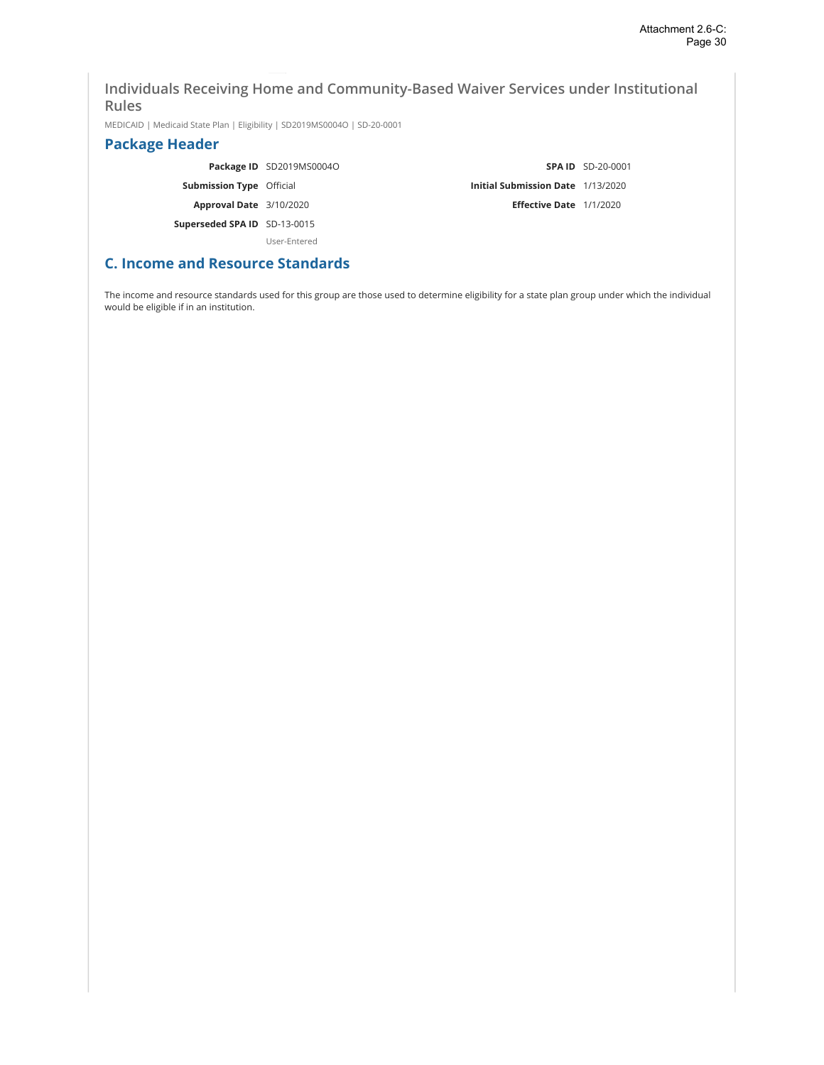Individuals Receiving Home and Community-Based Waiver Services under Institutional Rules

MEDICAID | Medicaid State Plan | Eligibility | SD2019MS0004O | SD-20-0001

### Package Header

|                                 | Package ID SD2019MS0004O |                                   | <b>SPA ID</b> SD-20-0001 |
|---------------------------------|--------------------------|-----------------------------------|--------------------------|
| <b>Submission Type Official</b> |                          | Initial Submission Date 1/13/2020 |                          |
| Approval Date 3/10/2020         |                          | Effective Date 1/1/2020           |                          |
| Superseded SPA ID SD-13-0015    |                          |                                   |                          |
|                                 | User-Entered             |                                   |                          |

# C. Income and Resource Standards

The income and resource standards used for this group are those used to determine eligibility for a state plan group under which the individual would be eligible if in an institution.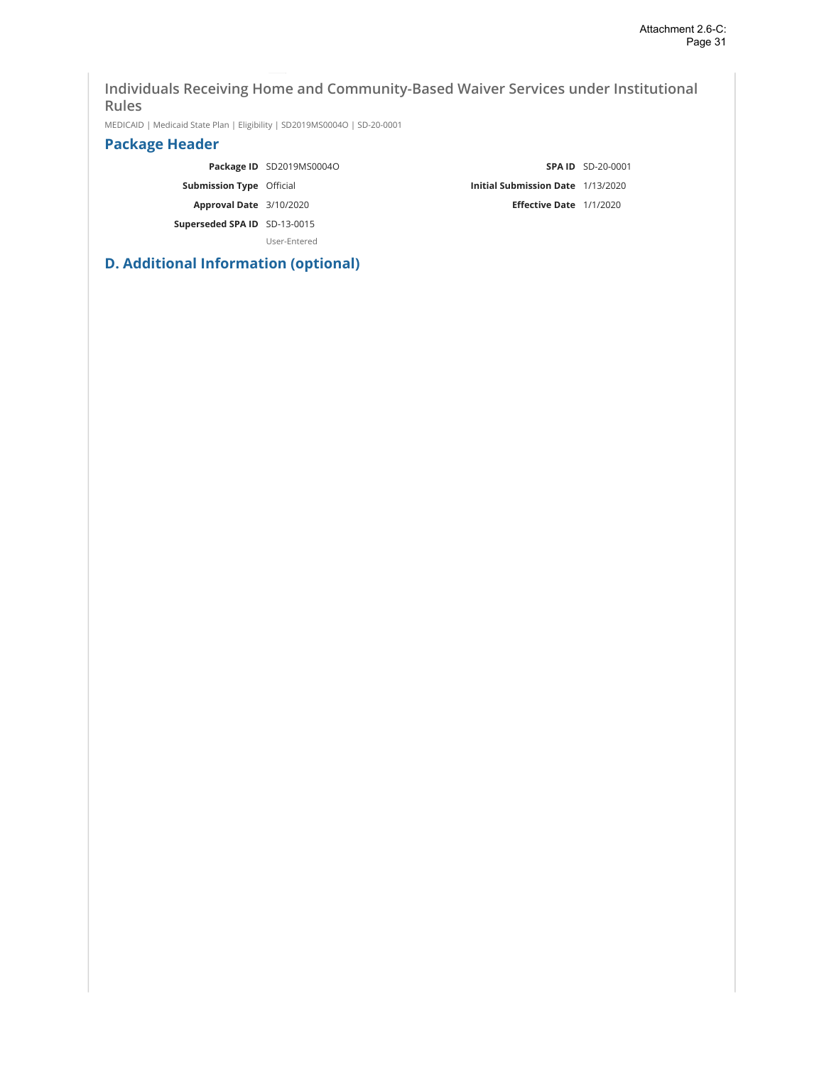Individuals Receiving Home and Community-Based Waiver Services under Institutional Rules

MEDICAID | Medicaid State Plan | Eligibility | SD2019MS0004O | SD-20-0001

# Package Header

|                                 | Package ID SD2019MS0004O |                                          | <b>SPA ID</b> SD-20-0001 |
|---------------------------------|--------------------------|------------------------------------------|--------------------------|
| <b>Submission Type Official</b> |                          | <b>Initial Submission Date 1/13/2020</b> |                          |
| Approval Date 3/10/2020         |                          | Effective Date 1/1/2020                  |                          |
| Superseded SPA ID SD-13-0015    |                          |                                          |                          |
|                                 | User-Entered             |                                          |                          |

# D. Additional Information (optional)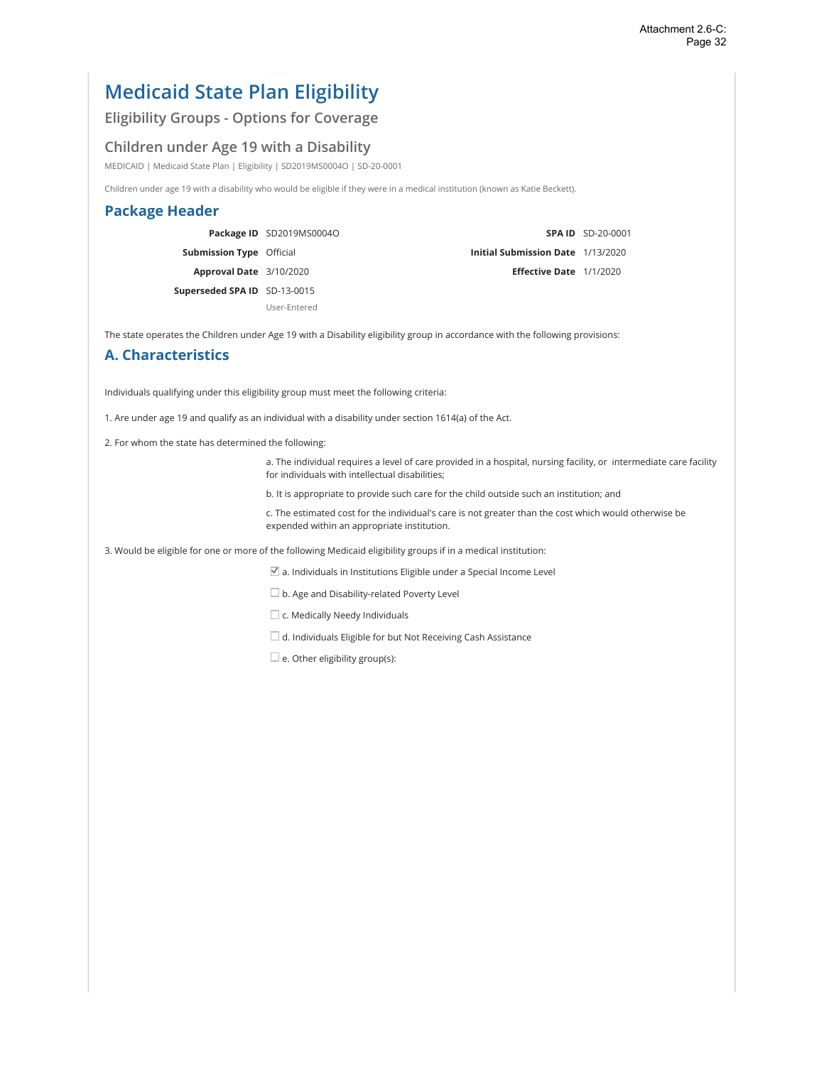# Medicaid State Plan Eligibility

Eligibility Groups - Options for Coverage

### Children under Age 19 with a Disability

MEDICAID | Medicaid State Plan | Eligibility | SD2019MS0004O | SD-20-0001

Children under age 19 with a disability who would be eligible if they were in a medical institution (known as Katie Beckett).

### Package Header

Package ID SD2019MS0004O Submission Type Official Approval Date 3/10/2020 Superseded SPA ID SD-13-0015 User-Entered

SPA ID SD-20-0001 Initial Submission Date 1/13/2020 Effective Date 1/1/2020

The state operates the Children under Age 19 with a Disability eligibility group in accordance with the following provisions:

## A. Characteristics

Individuals qualifying under this eligibility group must meet the following criteria:

1. Are under age 19 and qualify as an individual with a disability under section 1614(a) of the Act.

2. For whom the state has determined the following:

a. The individual requires a level of care provided in a hospital, nursing facility, or intermediate care facility for individuals with intellectual disabilities;

b. It is appropriate to provide such care for the child outside such an institution; and

c. The estimated cost for the individual's care is not greater than the cost which would otherwise be expended within an appropriate institution.

3. Would be eligible for one or more of the following Medicaid eligibility groups if in a medical institution:

 $\overline{\mathbb{Z}}$  a. Individuals in Institutions Eligible under a Special Income Level

 $\square$  b. Age and Disability-related Poverty Level

 $\square$  c. Medically Needy Individuals

 $\square$  d. Individuals Eligible for but Not Receiving Cash Assistance

 $\square$  e. Other eligibility group(s):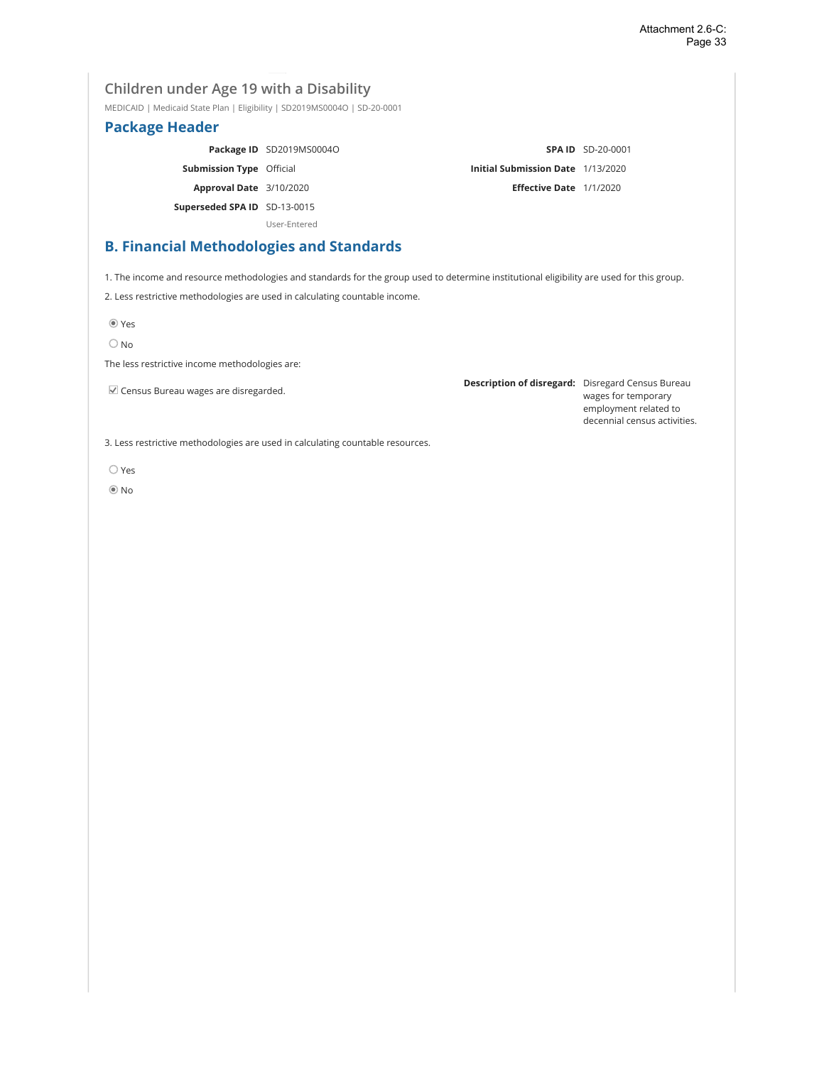# Children under Age 19 with a Disability

MEDICAID | Medicaid State Plan | Eligibility | SD2019MS0004O | SD-20-0001

### Package Header

|                                 | Package ID SD2019MS0004O |                                          | <b>SPA ID</b> SD-20-0001 |
|---------------------------------|--------------------------|------------------------------------------|--------------------------|
| <b>Submission Type Official</b> |                          | <b>Initial Submission Date 1/13/2020</b> |                          |
| Approval Date 3/10/2020         |                          | <b>Effective Date</b> 1/1/2020           |                          |
| Superseded SPA ID SD-13-0015    |                          |                                          |                          |
|                                 | User-Entered             |                                          |                          |

# B. Financial Methodologies and Standards

1. The income and resource methodologies and standards for the group used to determine institutional eligibility are used for this group.

2. Less restrictive methodologies are used in calculating countable income.

Yes

 $\bigcirc$  No

The less restrictive income methodologies are:

Census Bureau wages are disregarded.

Description of disregard: Disregard Census Bureau

wages for temporary employment related to decennial census activities.

3. Less restrictive methodologies are used in calculating countable resources.

Yes

No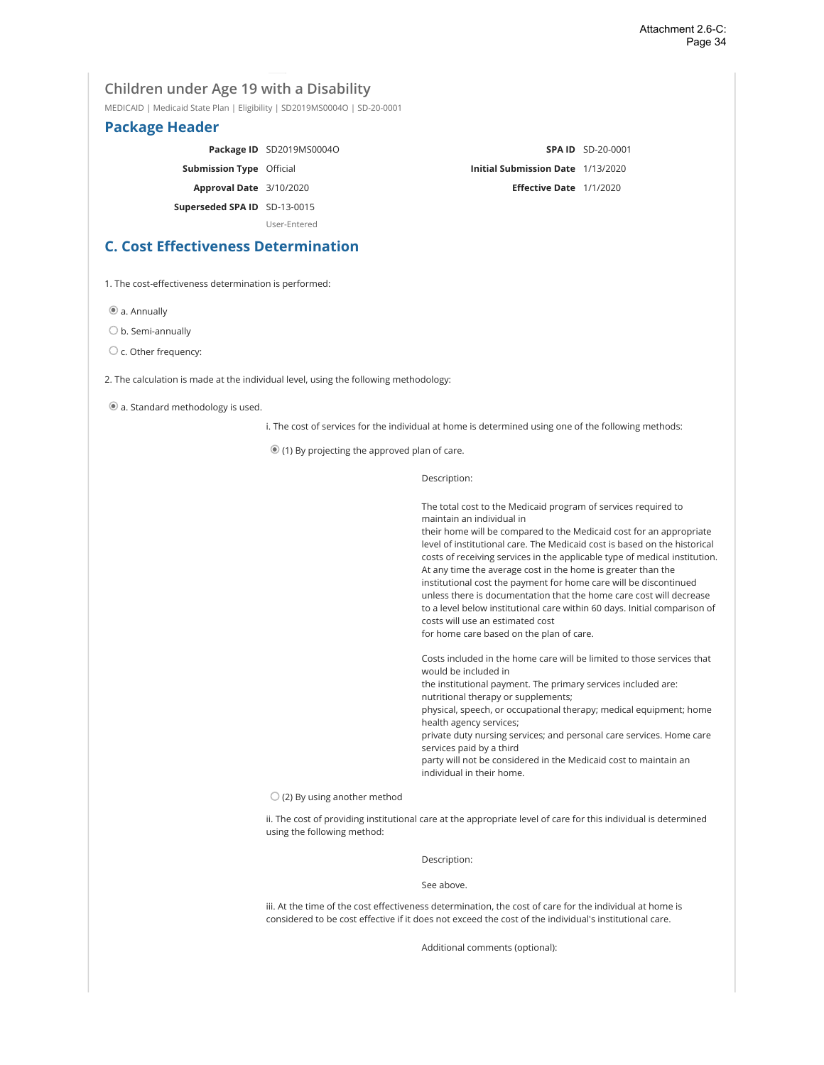### Children under Age 19 with a Disability

MEDICAID | Medicaid State Plan | Eligibility | SD2019MS0004O | SD-20-0001

### Package Header

|                                 | Package ID SD2019MS0004O |                                          | <b>SPA ID</b> SD-20-0001 |
|---------------------------------|--------------------------|------------------------------------------|--------------------------|
| <b>Submission Type</b> Official |                          | <b>Initial Submission Date 1/13/2020</b> |                          |
| Approval Date 3/10/2020         |                          | Effective Date 1/1/2020                  |                          |
| Superseded SPA ID SD-13-0015    |                          |                                          |                          |
|                                 | User-Entered             |                                          |                          |

### C. Cost Effectiveness Determination

1. The cost-effectiveness determination is performed:

a. Annually

b. Semi-annually

 $\circlearrowright$  c. Other frequency:

2. The calculation is made at the individual level, using the following methodology:

a. Standard methodology is used.

i. The cost of services for the individual at home is determined using one of the following methods:

(1) By projecting the approved plan of care.

Description:

The total cost to the Medicaid program of services required to maintain an individual in

their home will be compared to the Medicaid cost for an appropriate level of institutional care. The Medicaid cost is based on the historical costs of receiving services in the applicable type of medical institution. At any time the average cost in the home is greater than the institutional cost the payment for home care will be discontinued unless there is documentation that the home care cost will decrease to a level below institutional care within 60 days. Initial comparison of costs will use an estimated cost

for home care based on the plan of care.

Costs included in the home care will be limited to those services that would be included in the institutional payment. The primary services included are: nutritional therapy or supplements; physical, speech, or occupational therapy; medical equipment; home health agency services; private duty nursing services; and personal care services. Home care services paid by a third party will not be considered in the Medicaid cost to maintain an individual in their home.

 $\bigcirc$  (2) By using another method

ii. The cost of providing institutional care at the appropriate level of care for this individual is determined using the following method:

Description:

See above.

iii. At the time of the cost effectiveness determination, the cost of care for the individual at home is considered to be cost effective if it does not exceed the cost of the individual's institutional care.

Additional comments (optional):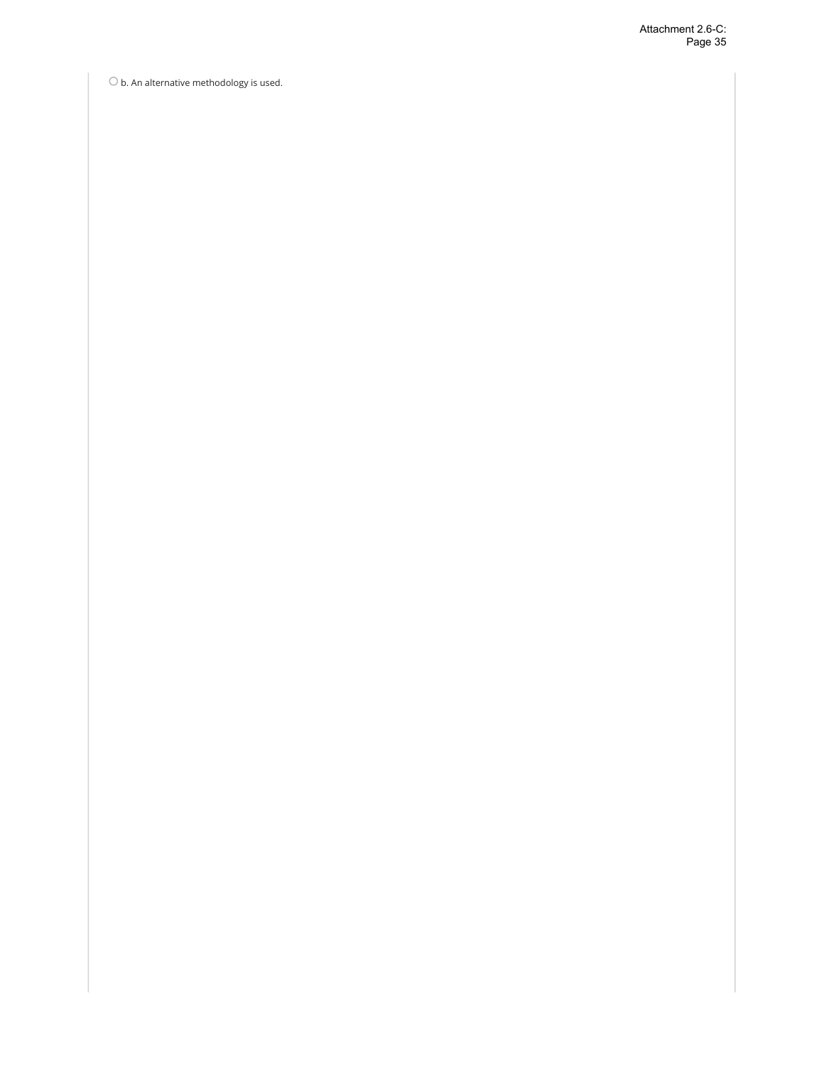$\bigcirc$  b. An alternative methodology is used.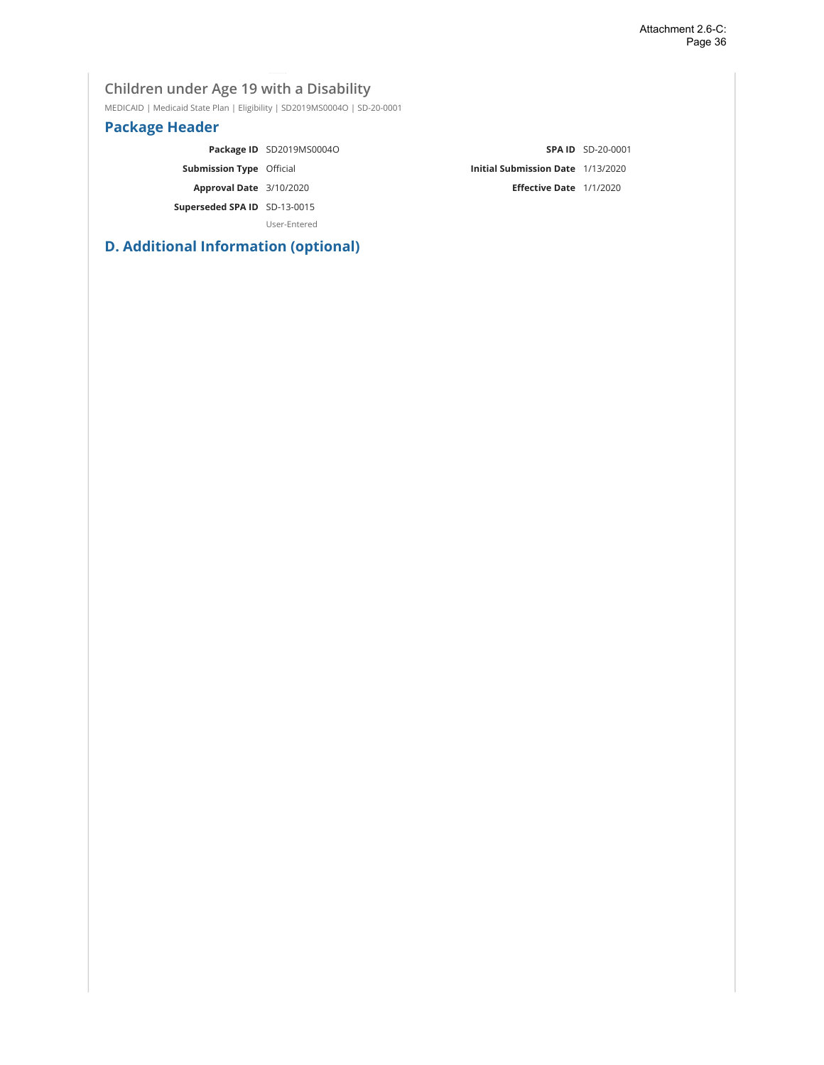# Children under Age 19 with a Disability

MEDICAID | Medicaid State Plan | Eligibility | SD2019MS0004O | SD-20-0001

# Package Header

|                                 | Package ID SD2019MS0004O |                                   | <b>SPA ID</b> SD-20-0001 |
|---------------------------------|--------------------------|-----------------------------------|--------------------------|
| <b>Submission Type</b> Official |                          | Initial Submission Date 1/13/2020 |                          |
| Approval Date 3/10/2020         |                          | Effective Date 1/1/2020           |                          |
| Superseded SPA ID SD-13-0015    |                          |                                   |                          |
|                                 | User-Entered             |                                   |                          |

# D. Additional Information (optional)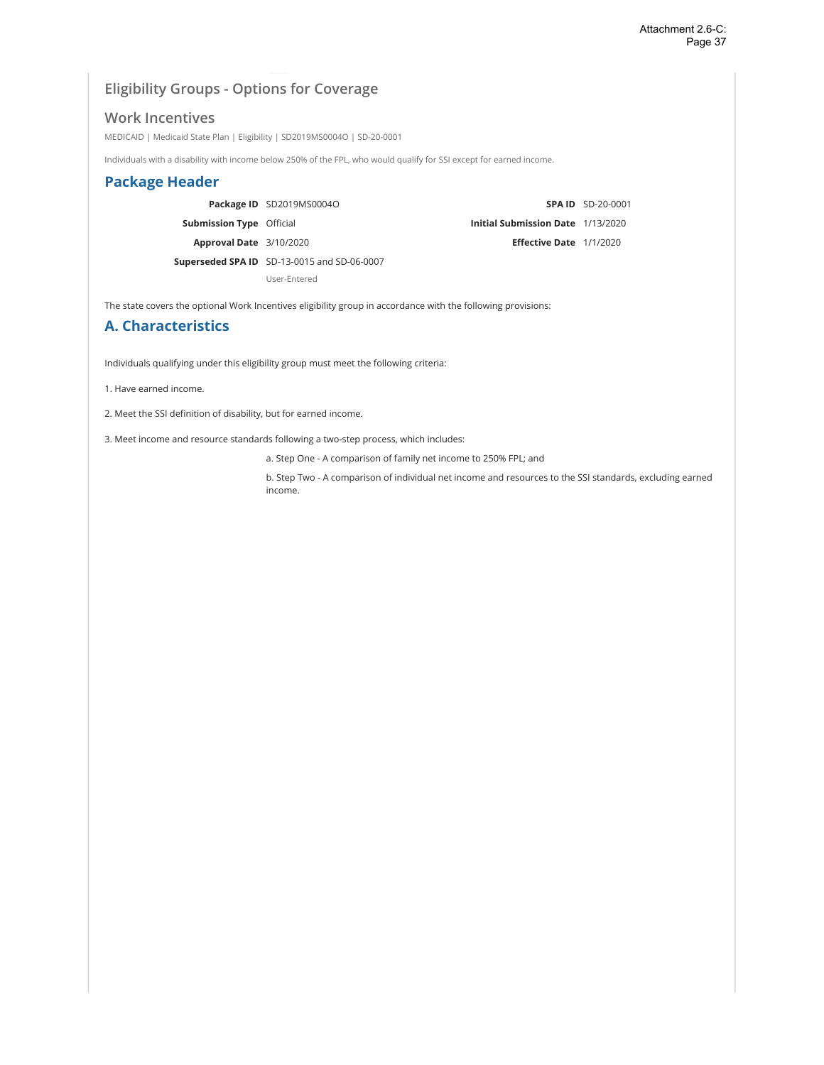# Eligibility Groups - Options for Coverage

### Work Incentives

MEDICAID | Medicaid State Plan | Eligibility | SD2019MS0004O | SD-20-0001

Individuals with a disability with income below 250% of the FPL, who would qualify for SSI except for earned income.

### Package Header

|                                 | Package ID SD2019MS0004O                    |                                   | <b>SPA ID</b> SD-20-0001 |
|---------------------------------|---------------------------------------------|-----------------------------------|--------------------------|
| <b>Submission Type Official</b> |                                             | Initial Submission Date 1/13/2020 |                          |
| Approval Date 3/10/2020         |                                             | Effective Date 1/1/2020           |                          |
|                                 | Superseded SPA ID SD-13-0015 and SD-06-0007 |                                   |                          |
|                                 | User-Entered                                |                                   |                          |

The state covers the optional Work Incentives eligibility group in accordance with the following provisions:

## A. Characteristics

Individuals qualifying under this eligibility group must meet the following criteria:

1. Have earned income.

2. Meet the SSI definition of disability, but for earned income.

3. Meet income and resource standards following a two-step process, which includes:

a. Step One - A comparison of family net income to 250% FPL; and

b. Step Two - A comparison of individual net income and resources to the SSI standards, excluding earned income.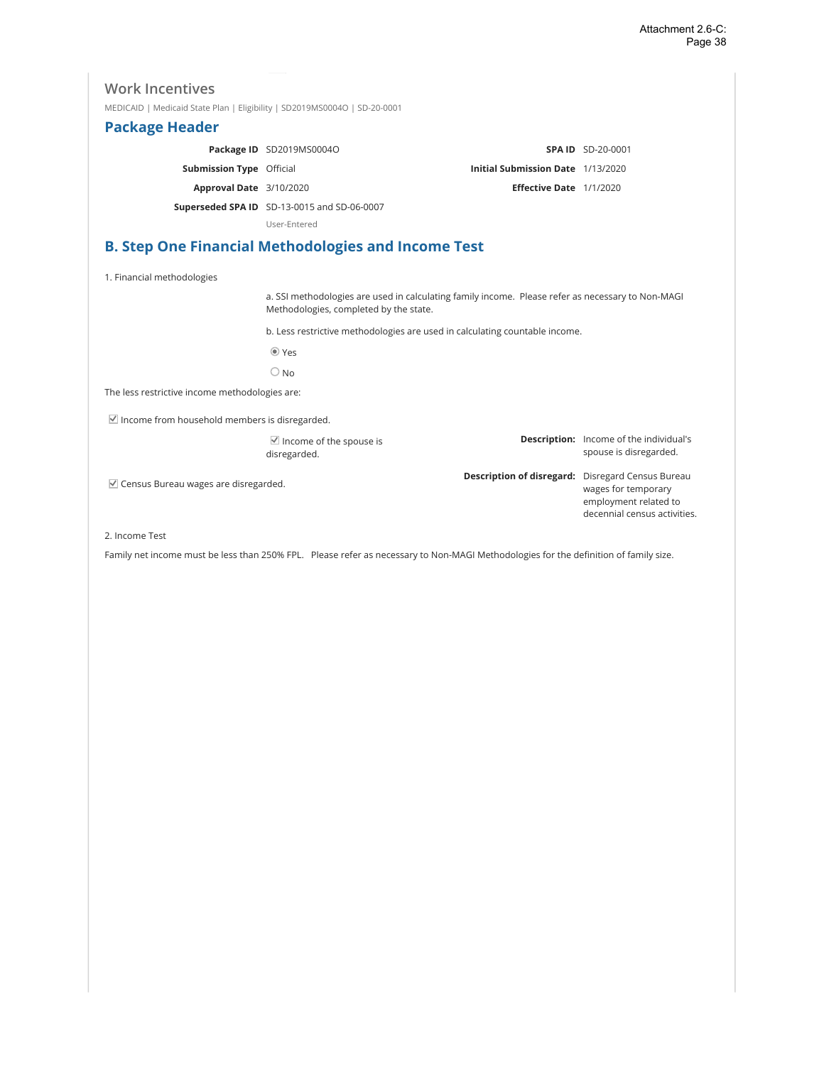### Work Incentives MEDICAID | Medicaid State Plan | Eligibility | SD2019MS0004O | SD-20-0001 Package Header Package ID SD2019MS0004O Submission Type Official Approval Date 3/10/2020 Superseded SPA ID SD-13-0015 and SD-06-0007 User-Entered SPA ID SD-20-0001 Initial Submission Date 1/13/2020 Effective Date 1/1/2020 B. Step One Financial Methodologies and Income Test 1. Financial methodologies a. SSI methodologies are used in calculating family income. Please refer as necessary to Non-MAGI Methodologies, completed by the state. b. Less restrictive methodologies are used in calculating countable income. Yes  $\bigcirc$  No The less restrictive income methodologies are:  $\blacksquare$  Income from household members is disregarded.  $\vee$  Income of the spouse is disregarded. Description: Income of the individual's spouse is disregarded. Census Bureau wages are disregarded. Description of disregard: Disregard Census Bureau wages for temporary employment related to decennial census activities.

2. Income Test

Family net income must be less than 250% FPL. Please refer as necessary to Non-MAGI Methodologies for the definition of family size.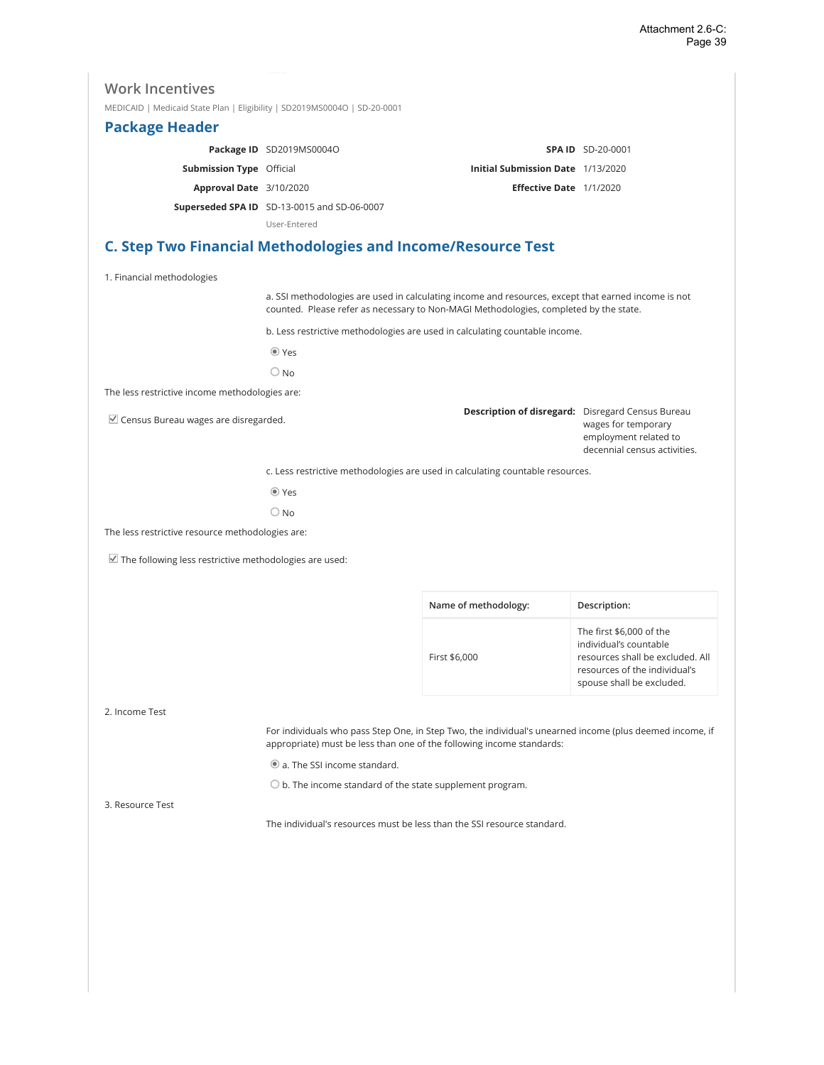| <b>Work Incentives</b>                                                       |                                                                                                      |                                                                                                                                                                                              |                                                                                                                                                      |  |
|------------------------------------------------------------------------------|------------------------------------------------------------------------------------------------------|----------------------------------------------------------------------------------------------------------------------------------------------------------------------------------------------|------------------------------------------------------------------------------------------------------------------------------------------------------|--|
|                                                                              |                                                                                                      |                                                                                                                                                                                              |                                                                                                                                                      |  |
|                                                                              | MEDICAID   Medicaid State Plan   Eligibility   SD2019MS0004O   SD-20-0001                            |                                                                                                                                                                                              |                                                                                                                                                      |  |
| <b>Package Header</b>                                                        |                                                                                                      |                                                                                                                                                                                              |                                                                                                                                                      |  |
|                                                                              | Package ID SD2019MS0004O                                                                             |                                                                                                                                                                                              | <b>SPA ID</b> SD-20-0001                                                                                                                             |  |
| <b>Submission Type Official</b>                                              |                                                                                                      | Initial Submission Date 1/13/2020                                                                                                                                                            |                                                                                                                                                      |  |
| Approval Date 3/10/2020                                                      |                                                                                                      | Effective Date 1/1/2020                                                                                                                                                                      |                                                                                                                                                      |  |
|                                                                              | Superseded SPA ID SD-13-0015 and SD-06-0007                                                          |                                                                                                                                                                                              |                                                                                                                                                      |  |
|                                                                              | User-Entered                                                                                         |                                                                                                                                                                                              |                                                                                                                                                      |  |
|                                                                              | <b>C. Step Two Financial Methodologies and Income/Resource Test</b>                                  |                                                                                                                                                                                              |                                                                                                                                                      |  |
| 1. Financial methodologies                                                   |                                                                                                      |                                                                                                                                                                                              |                                                                                                                                                      |  |
|                                                                              |                                                                                                      | a. SSI methodologies are used in calculating income and resources, except that earned income is not<br>counted. Please refer as necessary to Non-MAGI Methodologies, completed by the state. |                                                                                                                                                      |  |
|                                                                              |                                                                                                      | b. Less restrictive methodologies are used in calculating countable income.                                                                                                                  |                                                                                                                                                      |  |
|                                                                              | $\odot$ Yes                                                                                          |                                                                                                                                                                                              |                                                                                                                                                      |  |
|                                                                              | $\bigcirc$ No                                                                                        |                                                                                                                                                                                              |                                                                                                                                                      |  |
| The less restrictive income methodologies are:                               |                                                                                                      |                                                                                                                                                                                              |                                                                                                                                                      |  |
| ○ Census Bureau wages are disregarded.                                       |                                                                                                      |                                                                                                                                                                                              | <b>Description of disregard:</b> Disregard Census Bureau<br>wages for temporary<br>employment related to<br>decennial census activities.             |  |
|                                                                              |                                                                                                      | c. Less restrictive methodologies are used in calculating countable resources.                                                                                                               |                                                                                                                                                      |  |
|                                                                              | $\odot$ Yes                                                                                          |                                                                                                                                                                                              |                                                                                                                                                      |  |
|                                                                              | $\bigcirc$ No                                                                                        |                                                                                                                                                                                              |                                                                                                                                                      |  |
| The less restrictive resource methodologies are:                             |                                                                                                      |                                                                                                                                                                                              |                                                                                                                                                      |  |
|                                                                              |                                                                                                      |                                                                                                                                                                                              |                                                                                                                                                      |  |
| $\blacktriangleright$ The following less restrictive methodologies are used: |                                                                                                      |                                                                                                                                                                                              |                                                                                                                                                      |  |
|                                                                              |                                                                                                      |                                                                                                                                                                                              |                                                                                                                                                      |  |
|                                                                              |                                                                                                      | Name of methodology:                                                                                                                                                                         | Description:                                                                                                                                         |  |
|                                                                              |                                                                                                      | First \$6,000                                                                                                                                                                                | The first \$6,000 of the<br>individual's countable<br>resources shall be excluded. All<br>resources of the individual's<br>spouse shall be excluded. |  |
| 2. Income Test                                                               |                                                                                                      |                                                                                                                                                                                              |                                                                                                                                                      |  |
|                                                                              |                                                                                                      | For individuals who pass Step One, in Step Two, the individual's unearned income (plus deemed income, if                                                                                     |                                                                                                                                                      |  |
|                                                                              | appropriate) must be less than one of the following income standards:<br>a. The SSI income standard. |                                                                                                                                                                                              |                                                                                                                                                      |  |
|                                                                              |                                                                                                      |                                                                                                                                                                                              |                                                                                                                                                      |  |
|                                                                              |                                                                                                      |                                                                                                                                                                                              |                                                                                                                                                      |  |
|                                                                              | $\bigcirc$ b. The income standard of the state supplement program.                                   |                                                                                                                                                                                              |                                                                                                                                                      |  |
| 3. Resource Test                                                             | The individual's resources must be less than the SSI resource standard.                              |                                                                                                                                                                                              |                                                                                                                                                      |  |
|                                                                              |                                                                                                      |                                                                                                                                                                                              |                                                                                                                                                      |  |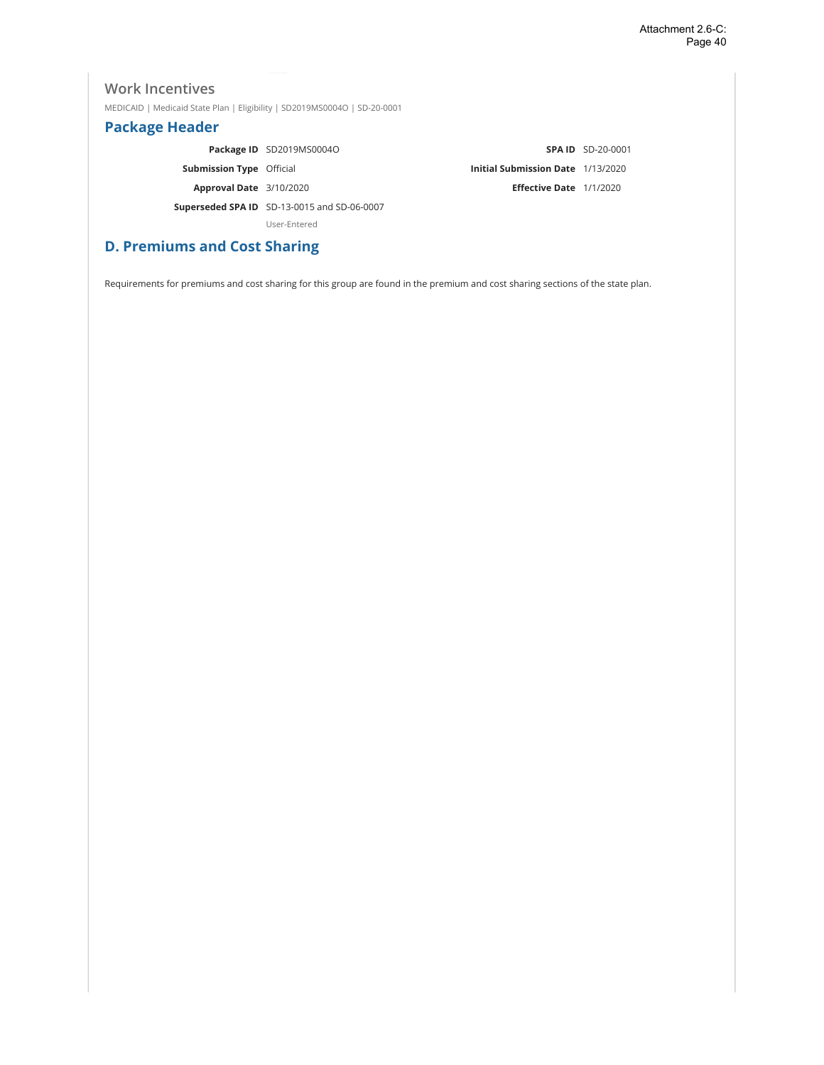#### Work Incentives

MEDICAID | Medicaid State Plan | Eligibility | SD2019MS0004O | SD-20-0001

# Package Header

|                                 | Package ID SD2019MS0004O                    |                                          | <b>SPA ID</b> SD-20-0001 |
|---------------------------------|---------------------------------------------|------------------------------------------|--------------------------|
| <b>Submission Type Official</b> |                                             | <b>Initial Submission Date 1/13/2020</b> |                          |
| Approval Date 3/10/2020         |                                             | Effective Date 1/1/2020                  |                          |
|                                 | Superseded SPA ID SD-13-0015 and SD-06-0007 |                                          |                          |
|                                 | User-Entered                                |                                          |                          |

# D. Premiums and Cost Sharing

Requirements for premiums and cost sharing for this group are found in the premium and cost sharing sections of the state plan.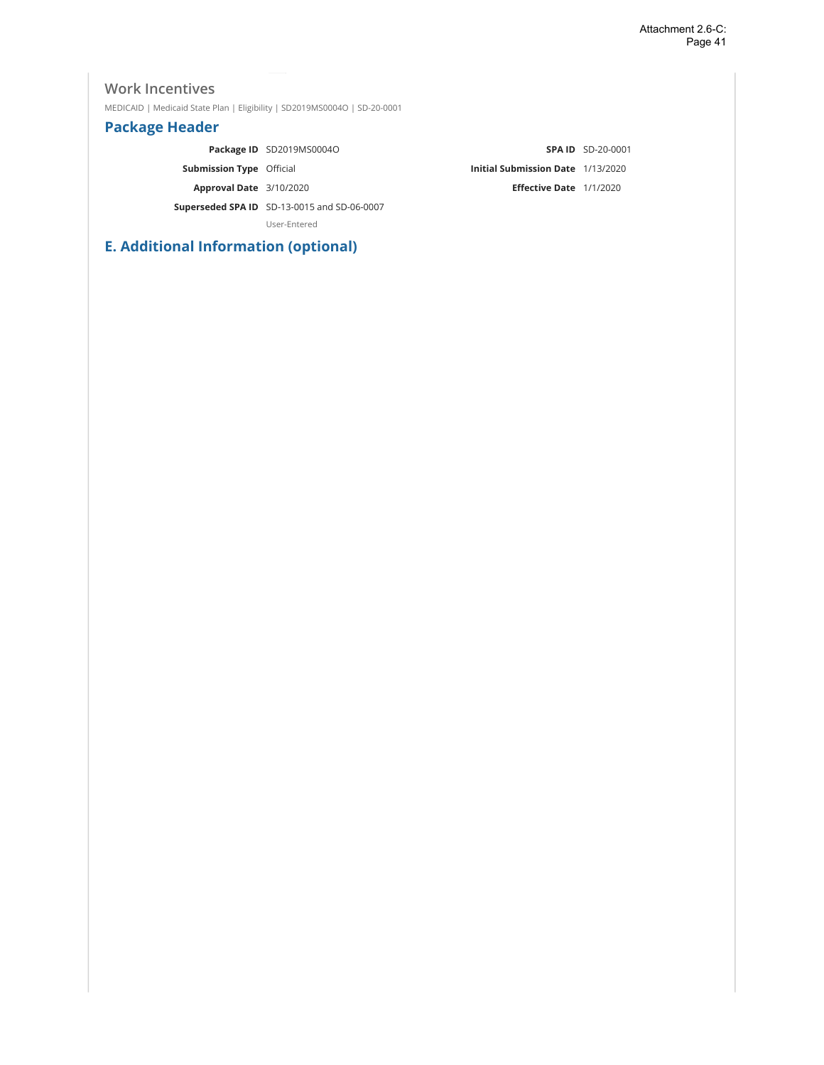### Work Incentives

MEDICAID | Medicaid State Plan | Eligibility | SD2019MS0004O | SD-20-0001

# Package Header

|                                 | Package ID SD2019MS0004O                    |                                          | <b>SPA ID</b> SD-20-0001 |
|---------------------------------|---------------------------------------------|------------------------------------------|--------------------------|
| <b>Submission Type</b> Official |                                             | <b>Initial Submission Date 1/13/2020</b> |                          |
| Approval Date 3/10/2020         |                                             | Effective Date 1/1/2020                  |                          |
|                                 | Superseded SPA ID SD-13-0015 and SD-06-0007 |                                          |                          |
|                                 | User-Entered                                |                                          |                          |

# E. Additional Information (optional)